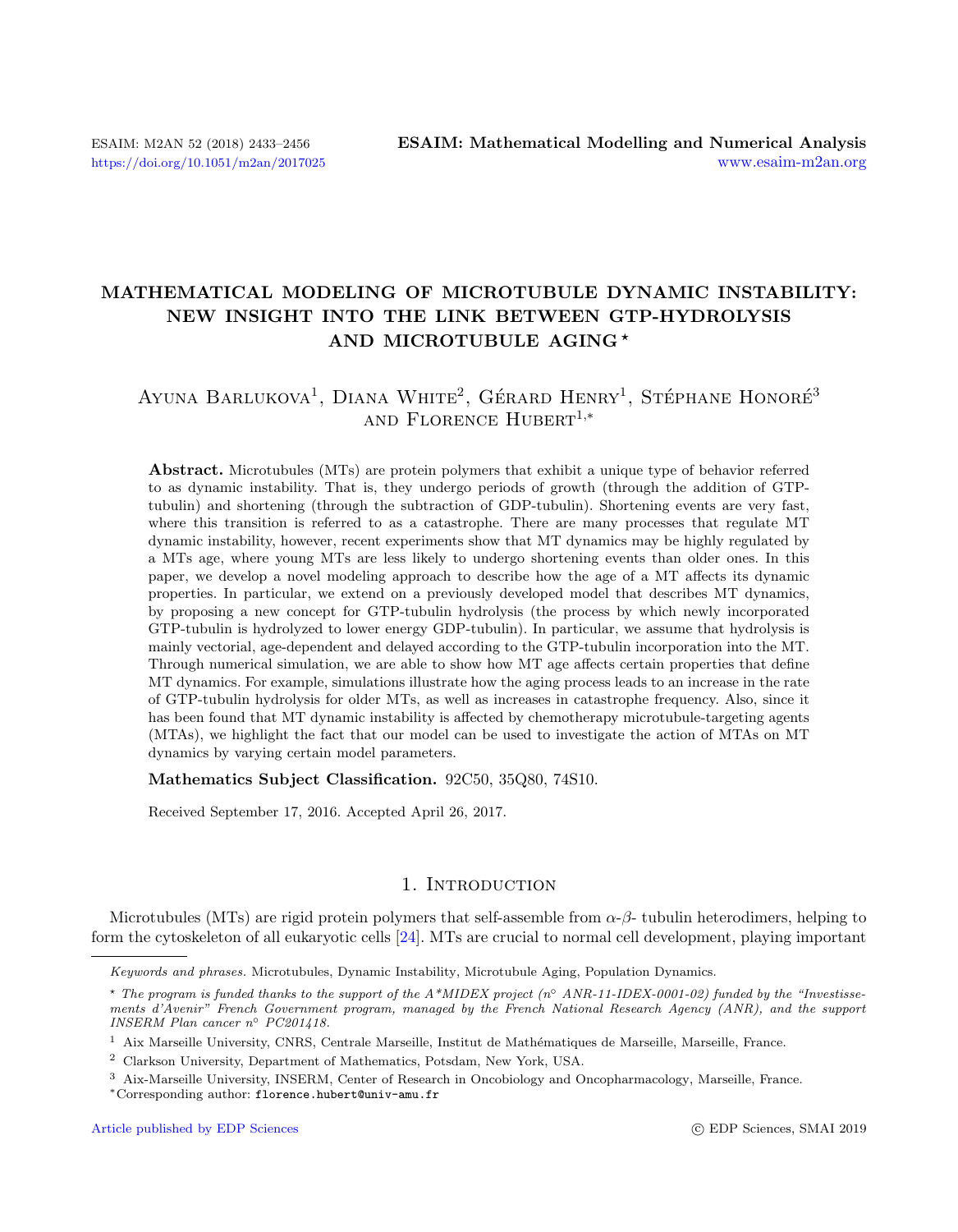# MATHEMATICAL MODELING OF MICROTUBULE DYNAMIC INSTABILITY: NEW INSIGHT INTO THE LINK BETWEEN GTP-HYDROLYSIS AND MICROTUBULE AGING \*

# AYUNA BARLUKOVA<sup>1</sup>, DIANA WHITE<sup>2</sup>, GÉRARD HENRY<sup>1</sup>, STÉPHANE HONORÉ<sup>3</sup> AND FLORENCE  $HUBERT^{1,*}$

Abstract. Microtubules (MTs) are protein polymers that exhibit a unique type of behavior referred to as dynamic instability. That is, they undergo periods of growth (through the addition of GTPtubulin) and shortening (through the subtraction of GDP-tubulin). Shortening events are very fast, where this transition is referred to as a catastrophe. There are many processes that regulate MT dynamic instability, however, recent experiments show that MT dynamics may be highly regulated by a MTs age, where young MTs are less likely to undergo shortening events than older ones. In this paper, we develop a novel modeling approach to describe how the age of a MT affects its dynamic properties. In particular, we extend on a previously developed model that describes MT dynamics, by proposing a new concept for GTP-tubulin hydrolysis (the process by which newly incorporated GTP-tubulin is hydrolyzed to lower energy GDP-tubulin). In particular, we assume that hydrolysis is mainly vectorial, age-dependent and delayed according to the GTP-tubulin incorporation into the MT. Through numerical simulation, we are able to show how MT age affects certain properties that define MT dynamics. For example, simulations illustrate how the aging process leads to an increase in the rate of GTP-tubulin hydrolysis for older MTs, as well as increases in catastrophe frequency. Also, since it has been found that MT dynamic instability is affected by chemotherapy microtubule-targeting agents (MTAs), we highlight the fact that our model can be used to investigate the action of MTAs on MT dynamics by varying certain model parameters.

### Mathematics Subject Classification. 92C50, 35Q80, 74S10.

Received September 17, 2016. Accepted April 26, 2017.

# 1. INTRODUCTION

Microtubules (MTs) are rigid protein polymers that self-assemble from  $\alpha$ - $\beta$ - tubulin heterodimers, helping to form the cytoskeleton of all eukaryotic cells [\[24\]](#page-23-0). MTs are crucial to normal cell development, playing important

Keywords and phrases. Microtubules, Dynamic Instability, Microtubule Aging, Population Dynamics.

<sup>\*</sup> The program is funded thanks to the support of the  $A^*MIDEX$  project (n<sup>o</sup> ANR-11-IDEX-0001-02) funded by the "Investissements d'Avenir" French Government program, managed by the French National Research Agency (ANR), and the support INSERM Plan cancer n◦ PC201418.

 $1$  Aix Marseille University, CNRS, Centrale Marseille, Institut de Mathématiques de Marseille, Marseille, France.

<sup>2</sup> Clarkson University, Department of Mathematics, Potsdam, New York, USA.

<sup>3</sup> Aix-Marseille University, INSERM, Center of Research in Oncobiology and Oncopharmacology, Marseille, France.

<sup>∗</sup>Corresponding author: [florence.hubert@univ-amu.fr](mailto:florence.hubert@univ-amu.fr)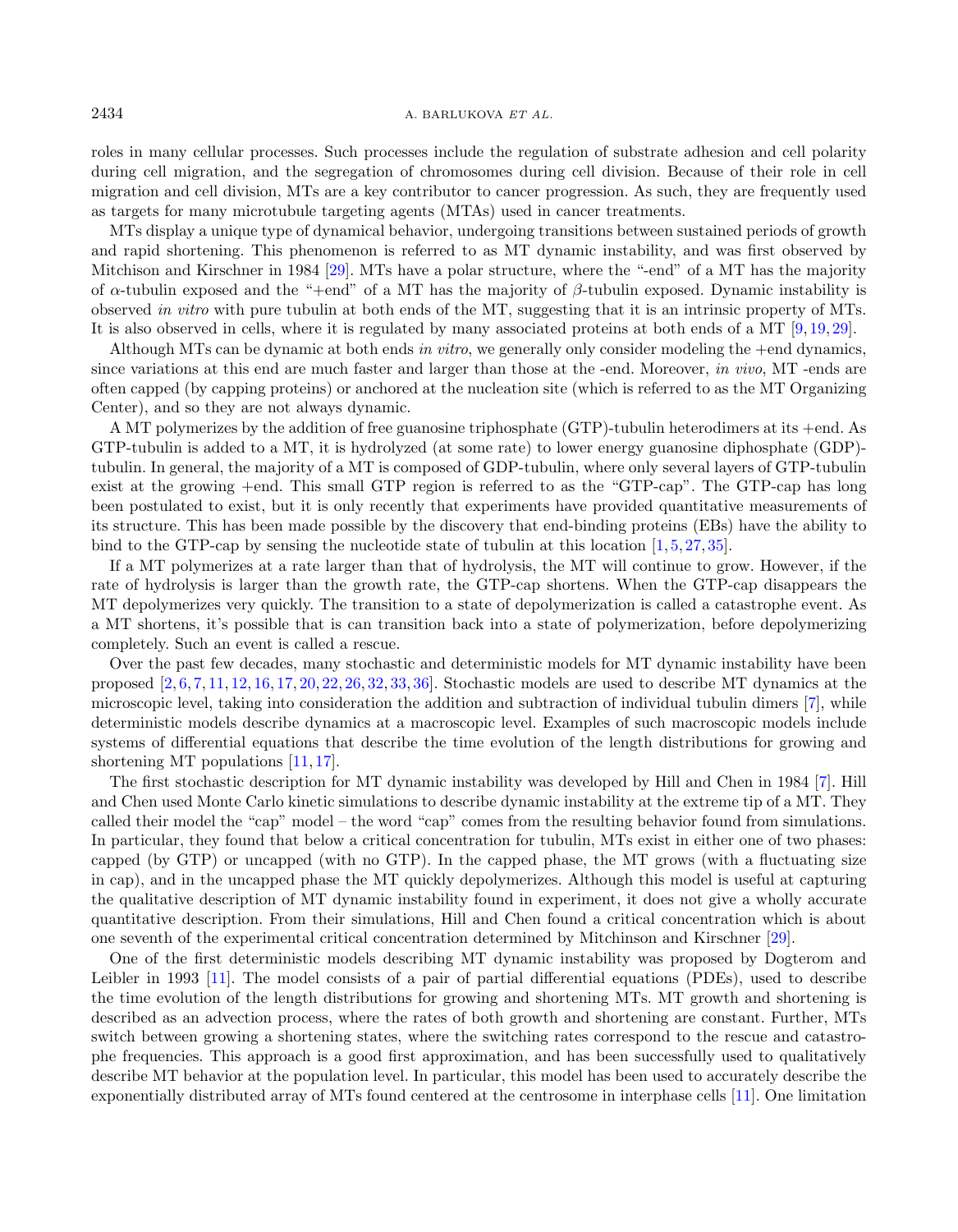#### $2434$  A. BARLUKOVA ET AL.

roles in many cellular processes. Such processes include the regulation of substrate adhesion and cell polarity during cell migration, and the segregation of chromosomes during cell division. Because of their role in cell migration and cell division, MTs are a key contributor to cancer progression. As such, they are frequently used as targets for many microtubule targeting agents (MTAs) used in cancer treatments.

MTs display a unique type of dynamical behavior, undergoing transitions between sustained periods of growth and rapid shortening. This phenomenon is referred to as MT dynamic instability, and was first observed by Mitchison and Kirschner in 1984 [\[29\]](#page-23-1). MTs have a polar structure, where the "-end" of a MT has the majority of  $\alpha$ -tubulin exposed and the "+end" of a MT has the majority of  $\beta$ -tubulin exposed. Dynamic instability is observed in vitro with pure tubulin at both ends of the MT, suggesting that it is an intrinsic property of MTs. It is also observed in cells, where it is regulated by many associated proteins at both ends of a MT [\[9,](#page-22-0) [19,](#page-22-1) [29\]](#page-23-1).

Although MTs can be dynamic at both ends in vitro, we generally only consider modeling the +end dynamics, since variations at this end are much faster and larger than those at the -end. Moreover, in vivo, MT -ends are often capped (by capping proteins) or anchored at the nucleation site (which is referred to as the MT Organizing Center), and so they are not always dynamic.

A MT polymerizes by the addition of free guanosine triphosphate (GTP)-tubulin heterodimers at its +end. As GTP-tubulin is added to a MT, it is hydrolyzed (at some rate) to lower energy guanosine diphosphate (GDP) tubulin. In general, the majority of a MT is composed of GDP-tubulin, where only several layers of GTP-tubulin exist at the growing +end. This small GTP region is referred to as the "GTP-cap". The GTP-cap has long been postulated to exist, but it is only recently that experiments have provided quantitative measurements of its structure. This has been made possible by the discovery that end-binding proteins (EBs) have the ability to bind to the GTP-cap by sensing the nucleotide state of tubulin at this location  $[1, 5, 27, 35]$  $[1, 5, 27, 35]$  $[1, 5, 27, 35]$  $[1, 5, 27, 35]$  $[1, 5, 27, 35]$  $[1, 5, 27, 35]$  $[1, 5, 27, 35]$ .

If a MT polymerizes at a rate larger than that of hydrolysis, the MT will continue to grow. However, if the rate of hydrolysis is larger than the growth rate, the GTP-cap shortens. When the GTP-cap disappears the MT depolymerizes very quickly. The transition to a state of depolymerization is called a catastrophe event. As a MT shortens, it's possible that is can transition back into a state of polymerization, before depolymerizing completely. Such an event is called a rescue.

Over the past few decades, many stochastic and deterministic models for MT dynamic instability have been proposed [\[2,](#page-22-4) [6,](#page-22-5) [7,](#page-22-6) [11,](#page-22-7) [12,](#page-22-8) [16,](#page-22-9) [17,](#page-22-10) [20,](#page-23-4) [22,](#page-23-5) [26,](#page-23-6) [32,](#page-23-7) [33,](#page-23-8) [36\]](#page-23-9). Stochastic models are used to describe MT dynamics at the microscopic level, taking into consideration the addition and subtraction of individual tubulin dimers [\[7\]](#page-22-6), while deterministic models describe dynamics at a macroscopic level. Examples of such macroscopic models include systems of differential equations that describe the time evolution of the length distributions for growing and shortening MT populations [\[11,](#page-22-7) [17\]](#page-22-10).

The first stochastic description for MT dynamic instability was developed by Hill and Chen in 1984 [\[7\]](#page-22-6). Hill and Chen used Monte Carlo kinetic simulations to describe dynamic instability at the extreme tip of a MT. They called their model the "cap" model – the word "cap" comes from the resulting behavior found from simulations. In particular, they found that below a critical concentration for tubulin, MTs exist in either one of two phases: capped (by GTP) or uncapped (with no GTP). In the capped phase, the MT grows (with a fluctuating size in cap), and in the uncapped phase the MT quickly depolymerizes. Although this model is useful at capturing the qualitative description of MT dynamic instability found in experiment, it does not give a wholly accurate quantitative description. From their simulations, Hill and Chen found a critical concentration which is about one seventh of the experimental critical concentration determined by Mitchinson and Kirschner [\[29\]](#page-23-1).

One of the first deterministic models describing MT dynamic instability was proposed by Dogterom and Leibler in 1993 [\[11\]](#page-22-7). The model consists of a pair of partial differential equations (PDEs), used to describe the time evolution of the length distributions for growing and shortening MTs. MT growth and shortening is described as an advection process, where the rates of both growth and shortening are constant. Further, MTs switch between growing a shortening states, where the switching rates correspond to the rescue and catastrophe frequencies. This approach is a good first approximation, and has been successfully used to qualitatively describe MT behavior at the population level. In particular, this model has been used to accurately describe the exponentially distributed array of MTs found centered at the centrosome in interphase cells [\[11\]](#page-22-7). One limitation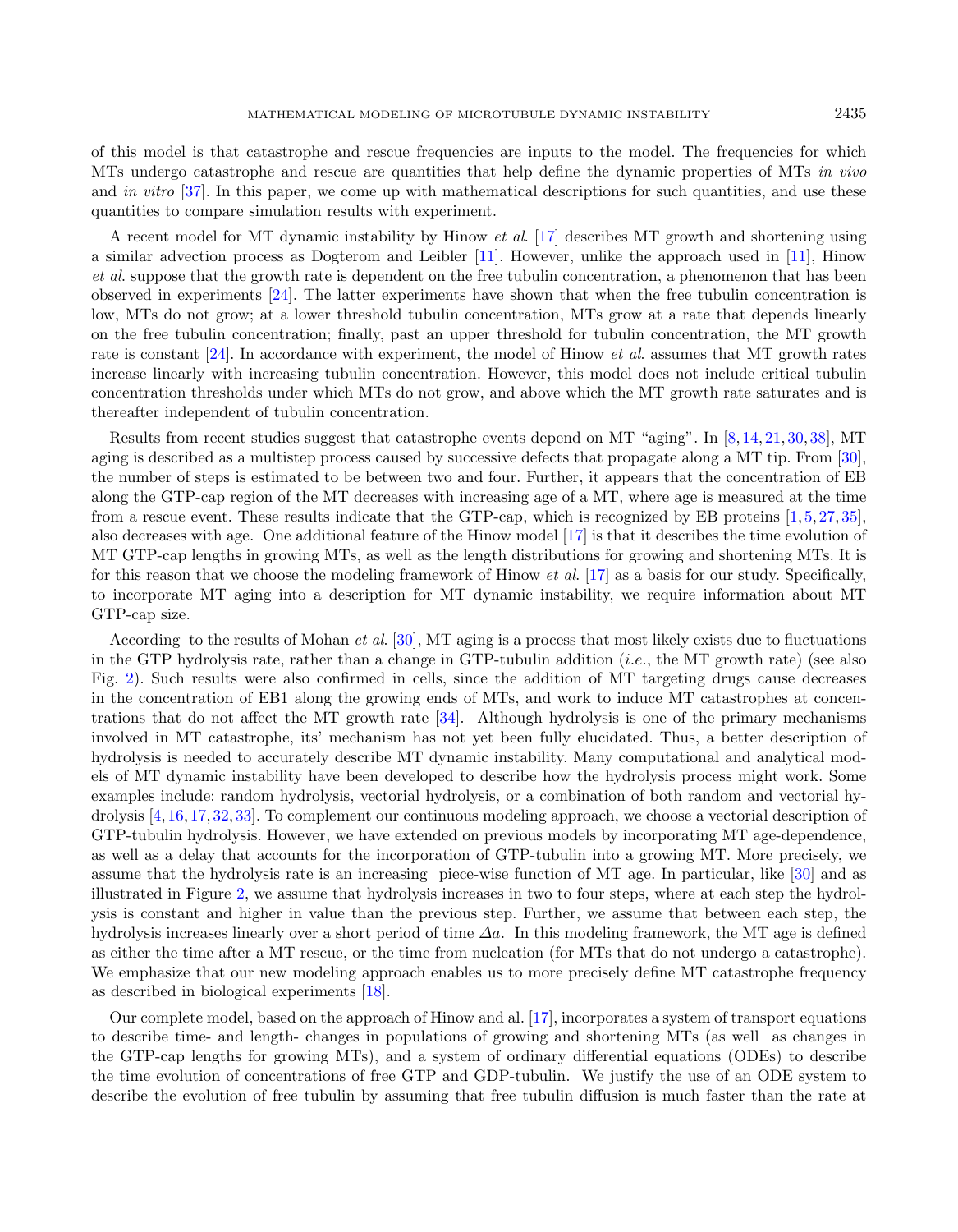of this model is that catastrophe and rescue frequencies are inputs to the model. The frequencies for which MTs undergo catastrophe and rescue are quantities that help define the dynamic properties of MTs in vivo and *in vitro* [\[37\]](#page-23-10). In this paper, we come up with mathematical descriptions for such quantities, and use these quantities to compare simulation results with experiment.

A recent model for MT dynamic instability by Hinow et al. [\[17\]](#page-22-10) describes MT growth and shortening using a similar advection process as Dogterom and Leibler [\[11\]](#page-22-7). However, unlike the approach used in [\[11\]](#page-22-7), Hinow et al. suppose that the growth rate is dependent on the free tubulin concentration, a phenomenon that has been observed in experiments [\[24\]](#page-23-0). The latter experiments have shown that when the free tubulin concentration is low, MTs do not grow; at a lower threshold tubulin concentration, MTs grow at a rate that depends linearly on the free tubulin concentration; finally, past an upper threshold for tubulin concentration, the MT growth rate is constant [\[24\]](#page-23-0). In accordance with experiment, the model of Hinow et al. assumes that MT growth rates increase linearly with increasing tubulin concentration. However, this model does not include critical tubulin concentration thresholds under which MTs do not grow, and above which the MT growth rate saturates and is thereafter independent of tubulin concentration.

Results from recent studies suggest that catastrophe events depend on MT "aging". In [\[8,](#page-22-11) [14,](#page-22-12) [21,](#page-23-11) [30,](#page-23-12) [38\]](#page-23-13), MT aging is described as a multistep process caused by successive defects that propagate along a MT tip. From [\[30\]](#page-23-12), the number of steps is estimated to be between two and four. Further, it appears that the concentration of EB along the GTP-cap region of the MT decreases with increasing age of a MT, where age is measured at the time from a rescue event. These results indicate that the GTP-cap, which is recognized by EB proteins [\[1,](#page-22-2) [5,](#page-22-3) [27,](#page-23-2) [35\]](#page-23-3), also decreases with age. One additional feature of the Hinow model [\[17\]](#page-22-10) is that it describes the time evolution of MT GTP-cap lengths in growing MTs, as well as the length distributions for growing and shortening MTs. It is for this reason that we choose the modeling framework of Hinow et al. [\[17\]](#page-22-10) as a basis for our study. Specifically, to incorporate MT aging into a description for MT dynamic instability, we require information about MT GTP-cap size.

According to the results of Mohan et al. [\[30\]](#page-23-12), MT aging is a process that most likely exists due to fluctuations in the GTP hydrolysis rate, rather than a change in GTP-tubulin addition (i.e., the MT growth rate) (see also Fig. [2\)](#page-9-0). Such results were also confirmed in cells, since the addition of MT targeting drugs cause decreases in the concentration of EB1 along the growing ends of MTs, and work to induce MT catastrophes at concentrations that do not affect the MT growth rate [\[34\]](#page-23-14). Although hydrolysis is one of the primary mechanisms involved in MT catastrophe, its' mechanism has not yet been fully elucidated. Thus, a better description of hydrolysis is needed to accurately describe MT dynamic instability. Many computational and analytical models of MT dynamic instability have been developed to describe how the hydrolysis process might work. Some examples include: random hydrolysis, vectorial hydrolysis, or a combination of both random and vectorial hydrolysis [\[4,](#page-22-13) [16,](#page-22-9) [17,](#page-22-10) [32,](#page-23-7) [33\]](#page-23-8). To complement our continuous modeling approach, we choose a vectorial description of GTP-tubulin hydrolysis. However, we have extended on previous models by incorporating MT age-dependence, as well as a delay that accounts for the incorporation of GTP-tubulin into a growing MT. More precisely, we assume that the hydrolysis rate is an increasing piece-wise function of MT age. In particular, like [\[30\]](#page-23-12) and as illustrated in Figure [2,](#page-9-0) we assume that hydrolysis increases in two to four steps, where at each step the hydrolysis is constant and higher in value than the previous step. Further, we assume that between each step, the hydrolysis increases linearly over a short period of time ∆a. In this modeling framework, the MT age is defined as either the time after a MT rescue, or the time from nucleation (for MTs that do not undergo a catastrophe). We emphasize that our new modeling approach enables us to more precisely define MT catastrophe frequency as described in biological experiments [\[18\]](#page-22-14).

Our complete model, based on the approach of Hinow and al. [\[17\]](#page-22-10), incorporates a system of transport equations to describe time- and length- changes in populations of growing and shortening MTs (as well as changes in the GTP-cap lengths for growing MTs), and a system of ordinary differential equations (ODEs) to describe the time evolution of concentrations of free GTP and GDP-tubulin. We justify the use of an ODE system to describe the evolution of free tubulin by assuming that free tubulin diffusion is much faster than the rate at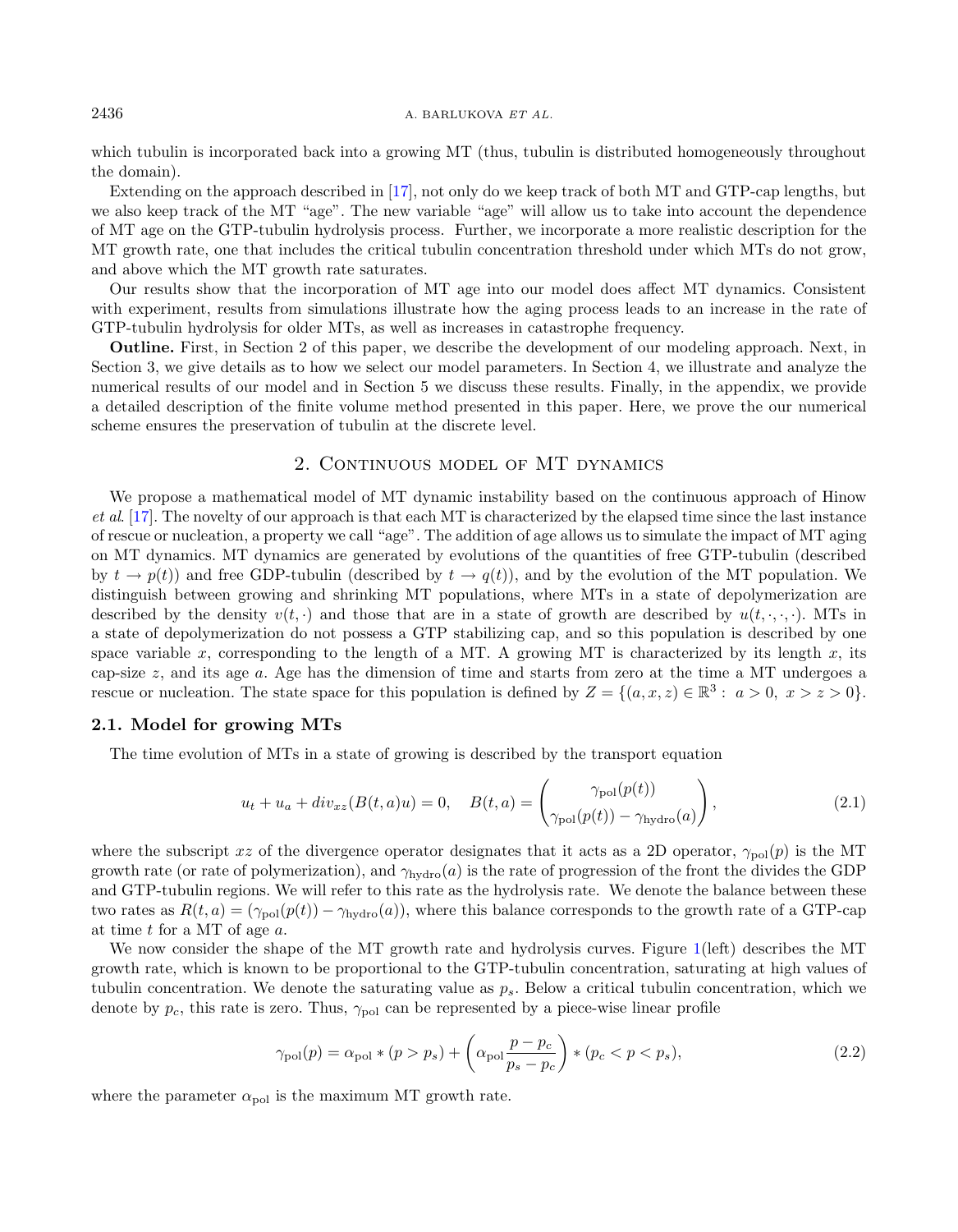### $2436$  A. BARLUKOVA ET AL.

which tubulin is incorporated back into a growing MT (thus, tubulin is distributed homogeneously throughout the domain).

Extending on the approach described in [\[17\]](#page-22-10), not only do we keep track of both MT and GTP-cap lengths, but we also keep track of the MT "age". The new variable "age" will allow us to take into account the dependence of MT age on the GTP-tubulin hydrolysis process. Further, we incorporate a more realistic description for the MT growth rate, one that includes the critical tubulin concentration threshold under which MTs do not grow, and above which the MT growth rate saturates.

Our results show that the incorporation of MT age into our model does affect MT dynamics. Consistent with experiment, results from simulations illustrate how the aging process leads to an increase in the rate of GTP-tubulin hydrolysis for older MTs, as well as increases in catastrophe frequency.

Outline. First, in Section 2 of this paper, we describe the development of our modeling approach. Next, in Section 3, we give details as to how we select our model parameters. In Section 4, we illustrate and analyze the numerical results of our model and in Section 5 we discuss these results. Finally, in the appendix, we provide a detailed description of the finite volume method presented in this paper. Here, we prove the our numerical scheme ensures the preservation of tubulin at the discrete level.

# <span id="page-3-0"></span>2. CONTINUOUS MODEL OF MT DYNAMICS

We propose a mathematical model of MT dynamic instability based on the continuous approach of Hinow et al. [\[17\]](#page-22-10). The novelty of our approach is that each MT is characterized by the elapsed time since the last instance of rescue or nucleation, a property we call "age". The addition of age allows us to simulate the impact of MT aging on MT dynamics. MT dynamics are generated by evolutions of the quantities of free GTP-tubulin (described by  $t \to p(t)$  and free GDP-tubulin (described by  $t \to q(t)$ ), and by the evolution of the MT population. We distinguish between growing and shrinking MT populations, where MTs in a state of depolymerization are described by the density  $v(t, \cdot)$  and those that are in a state of growth are described by  $u(t, \cdot, \cdot)$ . MTs in a state of depolymerization do not possess a GTP stabilizing cap, and so this population is described by one space variable x, corresponding to the length of a MT. A growing MT is characterized by its length x, its cap-size  $z$ , and its age  $a$ . Age has the dimension of time and starts from zero at the time a MT undergoes a rescue or nucleation. The state space for this population is defined by  $Z = \{(a, x, z) \in \mathbb{R}^3 : a > 0, x > z > 0\}.$ 

# 2.1. Model for growing MTs

The time evolution of MTs in a state of growing is described by the transport equation

<span id="page-3-1"></span>
$$
u_t + u_a + div_{xz}(B(t, a)u) = 0, \quad B(t, a) = \begin{pmatrix} \gamma_{\text{pol}}(p(t)) \\ \gamma_{\text{pol}}(p(t)) - \gamma_{\text{hydro}}(a) \end{pmatrix},
$$
\n(2.1)

where the subscript xz of the divergence operator designates that it acts as a 2D operator,  $\gamma_{\text{pol}}(p)$  is the MT growth rate (or rate of polymerization), and  $\gamma_{\text{hydro}}(a)$  is the rate of progression of the front the divides the GDP and GTP-tubulin regions. We will refer to this rate as the hydrolysis rate. We denote the balance between these two rates as  $R(t, a) = (\gamma_{\text{pol}}(p(t)) - \gamma_{\text{hydro}}(a))$ , where this balance corresponds to the growth rate of a GTP-cap at time  $t$  for a MT of age  $a$ .

We now consider the shape of the MT growth rate and hydrolysis curves. Figure [1\(](#page-4-0)left) describes the MT growth rate, which is known to be proportional to the GTP-tubulin concentration, saturating at high values of tubulin concentration. We denote the saturating value as  $p_s$ . Below a critical tubulin concentration, which we denote by  $p_c$ , this rate is zero. Thus,  $\gamma_{pol}$  can be represented by a piece-wise linear profile

$$
\gamma_{\text{pol}}(p) = \alpha_{\text{pol}} * (p > p_s) + \left(\alpha_{\text{pol}} \frac{p - p_c}{p_s - p_c}\right) * (p_c < p < p_s),\tag{2.2}
$$

where the parameter  $\alpha_{pol}$  is the maximum MT growth rate.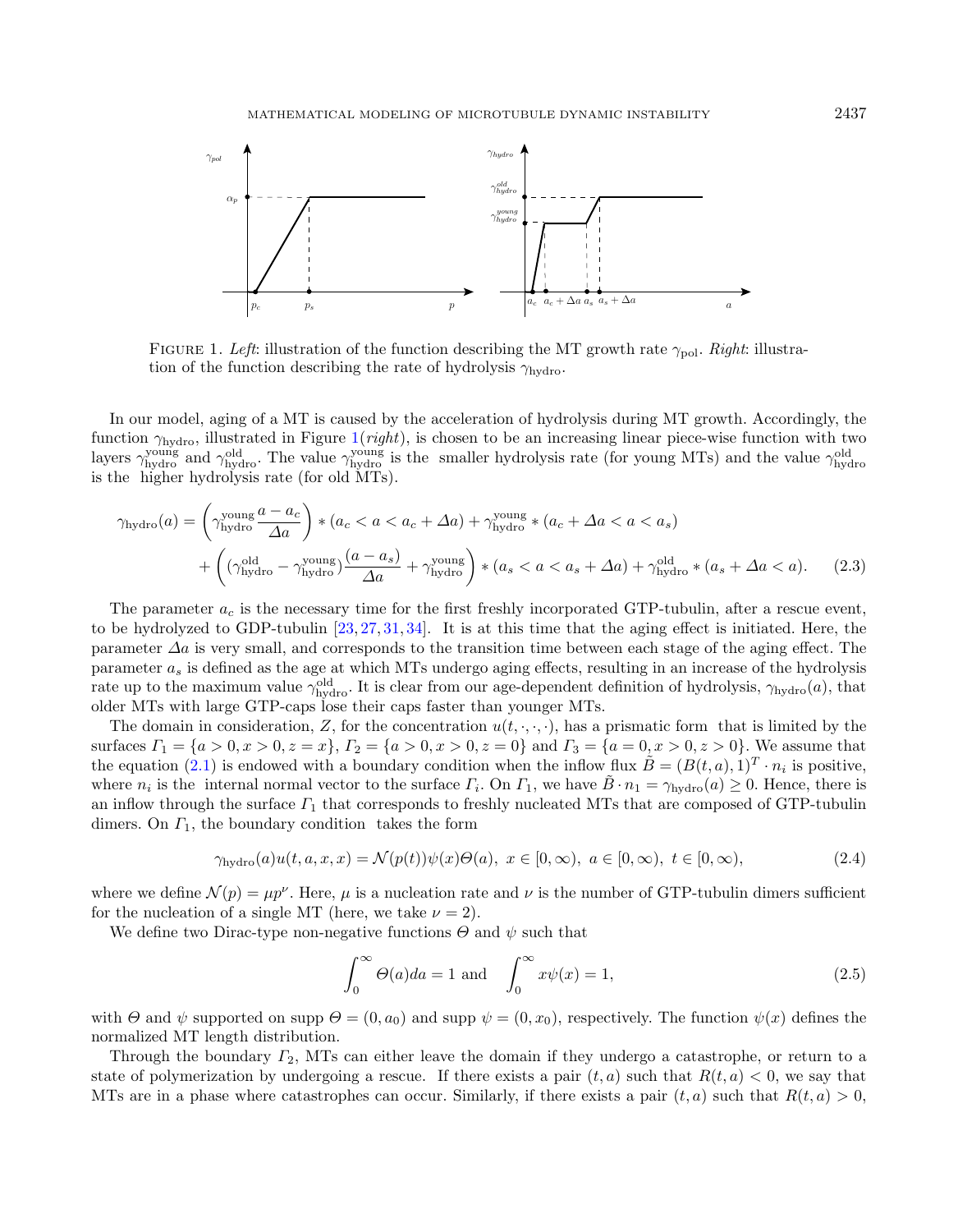<span id="page-4-1"></span><span id="page-4-0"></span>

FIGURE 1. Left: illustration of the function describing the MT growth rate  $\gamma_{\text{pol}}$ . Right: illustration of the function describing the rate of hydrolysis  $\gamma_{\text{hydro}}$ .

In our model, aging of a MT is caused by the acceleration of hydrolysis during MT growth. Accordingly, the function  $\gamma_{\text{hydro}}$ , illustrated in Figure [1\(](#page-4-0)*right*), is chosen to be an increasing linear piece-wise function with two layers  $\gamma_{\text{hydro}}^{\text{young}}$  and  $\gamma_{\text{hydro}}^{\text{old}}$ . The value  $\gamma_{\text{hydro}}^{\text{young}}$  is the smaller hydrolysis rate (for young MTs) and the value  $\gamma_{\text{hydro}}^{\text{old}}$ is the higher hydrolysis rate (for old MTs).

$$
\gamma_{\text{hydro}}(a) = \left(\gamma_{\text{hydro}}^{\text{young}}\frac{a - a_c}{\Delta a}\right) * (a_c < a < a_c + \Delta a) + \gamma_{\text{hydro}}^{\text{young}} * (a_c + \Delta a < a < a_s)
$$
  
+ 
$$
\left(\gamma_{\text{hydro}}^{\text{old}} - \gamma_{\text{hydro}}^{\text{young}}\right) \frac{(a - a_s)}{\Delta a} + \gamma_{\text{hydro}}^{\text{young}} * (a_s < a < a_s + \Delta a) + \gamma_{\text{hydro}}^{\text{old}} * (a_s + \Delta a < a). \tag{2.3}
$$

The parameter  $a_c$  is the necessary time for the first freshly incorporated GTP-tubulin, after a rescue event, to be hydrolyzed to GDP-tubulin  $[23, 27, 31, 34]$  $[23, 27, 31, 34]$  $[23, 27, 31, 34]$  $[23, 27, 31, 34]$  $[23, 27, 31, 34]$  $[23, 27, 31, 34]$  $[23, 27, 31, 34]$ . It is at this time that the aging effect is initiated. Here, the parameter  $\Delta a$  is very small, and corresponds to the transition time between each stage of the aging effect. The parameter  $a_s$  is defined as the age at which MTs undergo aging effects, resulting in an increase of the hydrolysis rate up to the maximum value  $\gamma_{\text{hydro}}^{\text{old}}$ . It is clear from our age-dependent definition of hydrolysis,  $\gamma_{\text{hydro}}(a)$ , that older MTs with large GTP-caps lose their caps faster than younger MTs.

The domain in consideration, Z, for the concentration  $u(t, \cdot, \cdot, \cdot)$ , has a prismatic form that is limited by the surfaces  $\Gamma_1 = \{a > 0, x > 0, z = x\}, \Gamma_2 = \{a > 0, x > 0, z = 0\}$  and  $\Gamma_3 = \{a = 0, x > 0, z > 0\}.$  We assume that the equation [\(2.1\)](#page-3-0) is endowed with a boundary condition when the inflow flux  $\tilde{B} = (B(t, a), 1)^T \cdot n_i$  is positive, where  $n_i$  is the internal normal vector to the surface  $\Gamma_i$ . On  $\Gamma_1$ , we have  $\tilde{B} \cdot n_1 = \gamma_{\text{hydro}}(a) \geq 0$ . Hence, there is an inflow through the surface  $\Gamma_1$  that corresponds to freshly nucleated MTs that are composed of GTP-tubulin dimers. On  $\Gamma_1$ , the boundary condition takes the form

$$
\gamma_{\text{hydro}}(a)u(t,a,x,x) = \mathcal{N}(p(t))\psi(x)\Theta(a), \ x \in [0,\infty), \ a \in [0,\infty), \ t \in [0,\infty), \tag{2.4}
$$

where we define  $\mathcal{N}(p) = \mu p^{\nu}$ . Here,  $\mu$  is a nucleation rate and  $\nu$  is the number of GTP-tubulin dimers sufficient for the nucleation of a single MT (here, we take  $\nu = 2$ ).

We define two Dirac-type non-negative functions  $\Theta$  and  $\psi$  such that

<span id="page-4-2"></span>
$$
\int_0^\infty \Theta(a)da = 1 \text{ and } \int_0^\infty x\psi(x) = 1,
$$
\n(2.5)

with  $\Theta$  and  $\psi$  supported on supp  $\Theta = (0, a_0)$  and supp  $\psi = (0, x_0)$ , respectively. The function  $\psi(x)$  defines the normalized MT length distribution.

Through the boundary  $\Gamma_2$ , MTs can either leave the domain if they undergo a catastrophe, or return to a state of polymerization by undergoing a rescue. If there exists a pair  $(t, a)$  such that  $R(t, a) < 0$ , we say that MTs are in a phase where catastrophes can occur. Similarly, if there exists a pair  $(t, a)$  such that  $R(t, a) > 0$ ,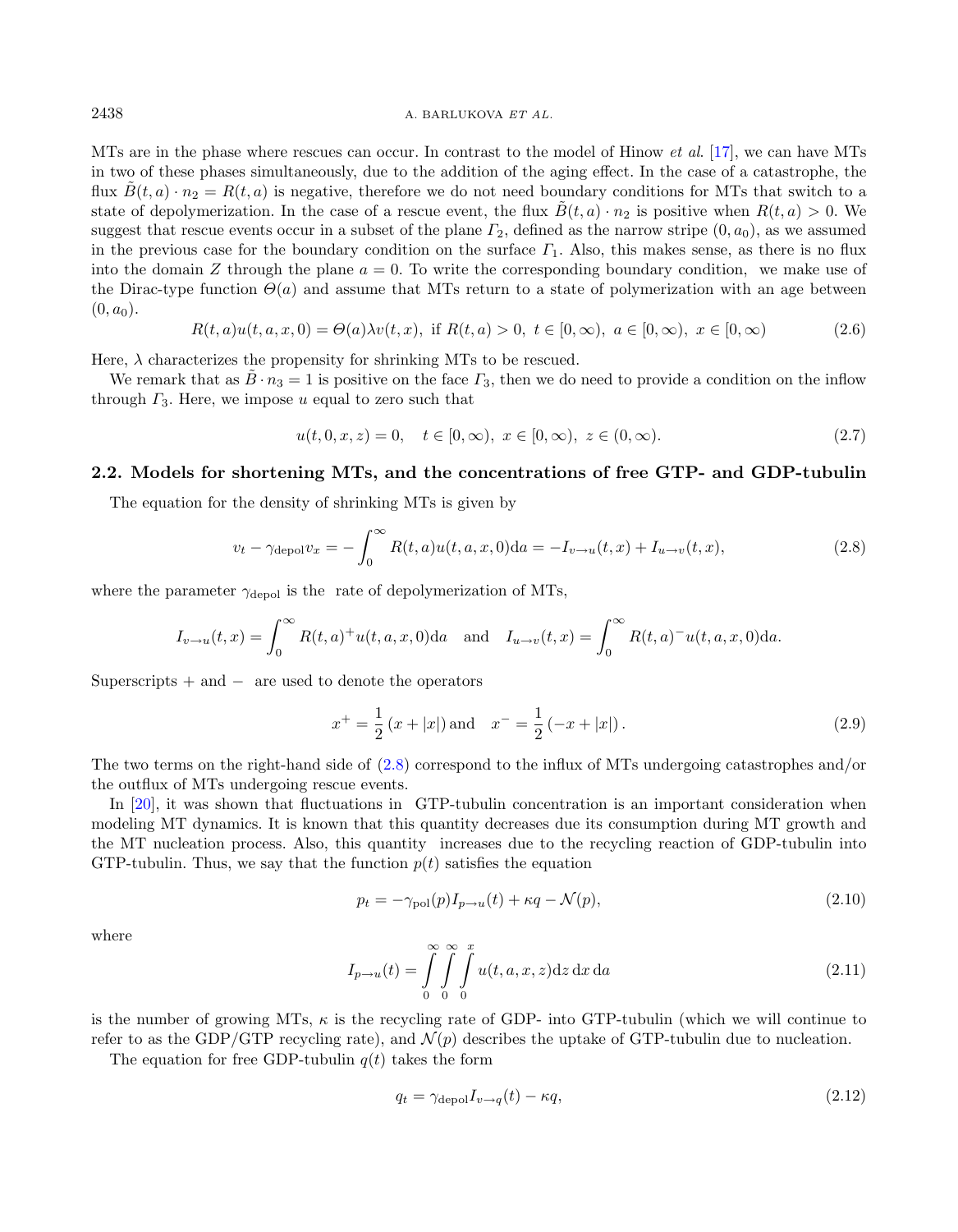### 2438 A. BARLUKOVA ET AL.

MTs are in the phase where rescues can occur. In contrast to the model of Hinow *et al.* [\[17\]](#page-22-10), we can have MTs in two of these phases simultaneously, due to the addition of the aging effect. In the case of a catastrophe, the flux  $B(t, a) \cdot n_2 = R(t, a)$  is negative, therefore we do not need boundary conditions for MTs that switch to a state of depolymerization. In the case of a rescue event, the flux  $\hat{B}(t, a) \cdot n_2$  is positive when  $R(t, a) > 0$ . We suggest that rescue events occur in a subset of the plane  $\Gamma_2$ , defined as the narrow stripe  $(0, a_0)$ , as we assumed in the previous case for the boundary condition on the surface  $\Gamma_1$ . Also, this makes sense, as there is no flux into the domain Z through the plane  $a = 0$ . To write the corresponding boundary condition, we make use of the Dirac-type function  $\Theta(a)$  and assume that MTs return to a state of polymerization with an age between  $(0, a_0)$ .

$$
R(t, a)u(t, a, x, 0) = \Theta(a)\lambda v(t, x), \text{ if } R(t, a) > 0, t \in [0, \infty), a \in [0, \infty), x \in [0, \infty)
$$
\n(2.6)

Here,  $\lambda$  characterizes the propensity for shrinking MTs to be rescued.

We remark that as  $\tilde{B} \cdot n_3 = 1$  is positive on the face  $\Gamma_3$ , then we do need to provide a condition on the inflow through  $\Gamma_3$ . Here, we impose u equal to zero such that

<span id="page-5-0"></span>
$$
u(t,0,x,z) = 0, \quad t \in [0,\infty), \ x \in [0,\infty), \ z \in (0,\infty). \tag{2.7}
$$

### 2.2. Models for shortening MTs, and the concentrations of free GTP- and GDP-tubulin

The equation for the density of shrinking MTs is given by

$$
v_t - \gamma_{\text{depol}} v_x = -\int_0^\infty R(t, a) u(t, a, x, 0) \, \text{d}a = -I_{v \to u}(t, x) + I_{u \to v}(t, x),\tag{2.8}
$$

where the parameter  $\gamma_{\rm depol}$  is the rate of depolymerization of MTs,

$$
I_{v \to u}(t,x) = \int_0^\infty R(t,a)^+ u(t,a,x,0) \, \mathrm{d}a \quad \text{and} \quad I_{u \to v}(t,x) = \int_0^\infty R(t,a)^- u(t,a,x,0) \, \mathrm{d}a.
$$

<span id="page-5-3"></span>Superscripts  $+$  and  $-$  are used to denote the operators

<span id="page-5-1"></span>
$$
x^{+} = \frac{1}{2} (x + |x|) \text{ and } x^{-} = \frac{1}{2} (-x + |x|).
$$
 (2.9)

The two terms on the right-hand side of [\(2.8\)](#page-5-0) correspond to the influx of MTs undergoing catastrophes and/or the outflux of MTs undergoing rescue events.

In [\[20\]](#page-23-4), it was shown that fluctuations in GTP-tubulin concentration is an important consideration when modeling MT dynamics. It is known that this quantity decreases due its consumption during MT growth and the MT nucleation process. Also, this quantity increases due to the recycling reaction of GDP-tubulin into GTP-tubulin. Thus, we say that the function  $p(t)$  satisfies the equation

<span id="page-5-2"></span>
$$
p_t = -\gamma_{\text{pol}}(p)I_{p \to u}(t) + \kappa q - \mathcal{N}(p),\tag{2.10}
$$

where

$$
I_{p\to u}(t) = \int\limits_{0}^{\infty} \int\limits_{0}^{\infty} \int\limits_{0}^{x} u(t, a, x, z) dz dx da
$$
 (2.11)

is the number of growing MTs,  $\kappa$  is the recycling rate of GDP- into GTP-tubulin (which we will continue to refer to as the GDP/GTP recycling rate), and  $\mathcal{N}(p)$  describes the uptake of GTP-tubulin due to nucleation.

The equation for free GDP-tubulin  $q(t)$  takes the form

$$
q_t = \gamma_{\text{depol}} I_{v \to q}(t) - \kappa q,\tag{2.12}
$$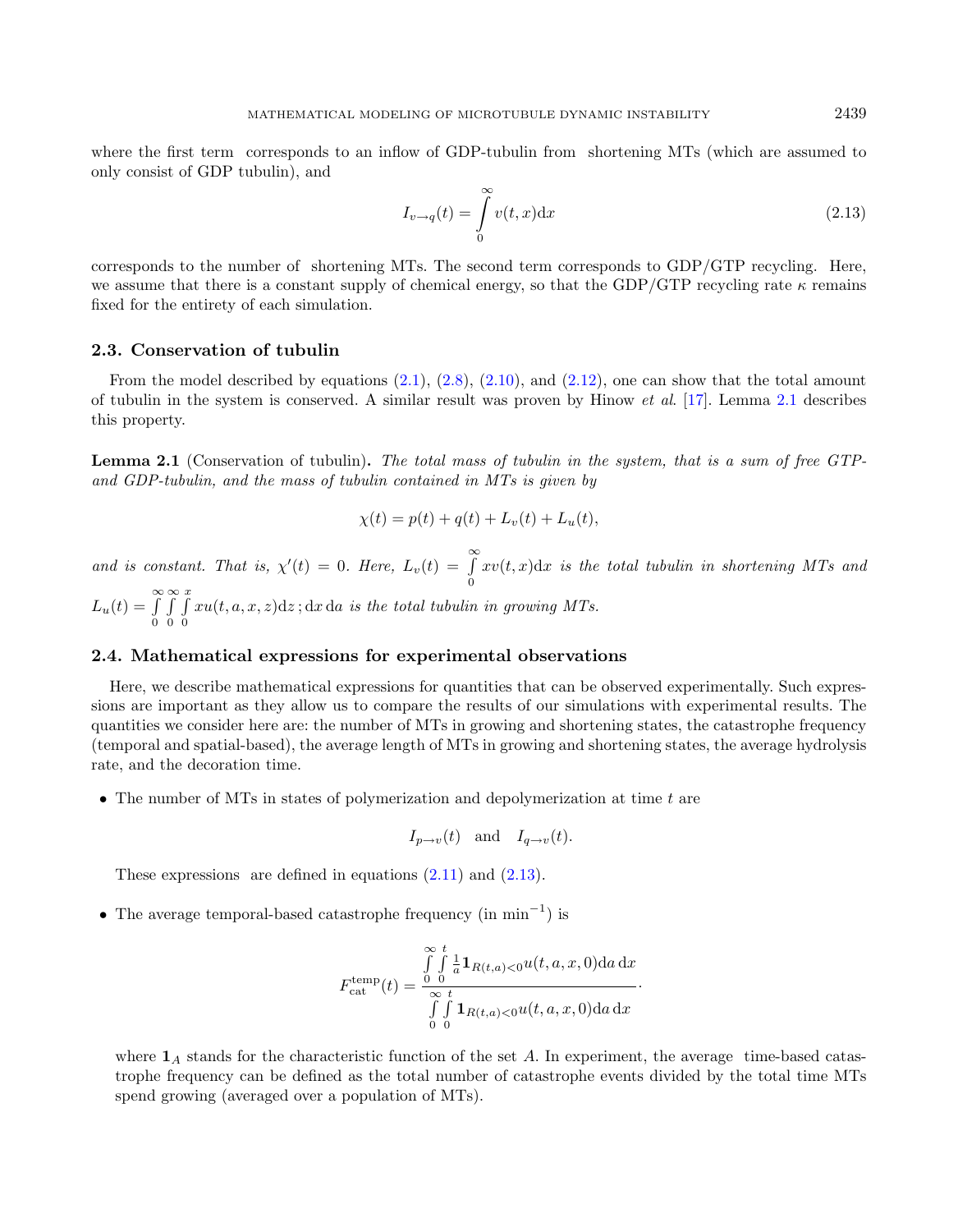where the first term corresponds to an inflow of GDP-tubulin from shortening MTs (which are assumed to only consist of GDP tubulin), and

<span id="page-6-1"></span>
$$
I_{v \to q}(t) = \int_{0}^{\infty} v(t, x) dx
$$
\n(2.13)

corresponds to the number of shortening MTs. The second term corresponds to GDP/GTP recycling. Here, we assume that there is a constant supply of chemical energy, so that the GDP/GTP recycling rate  $\kappa$  remains fixed for the entirety of each simulation.

## 2.3. Conservation of tubulin

From the model described by equations  $(2.1), (2.8), (2.10),$  $(2.1), (2.8), (2.10),$  $(2.1), (2.8), (2.10),$  $(2.1), (2.8), (2.10),$  $(2.1), (2.8), (2.10),$  $(2.1), (2.8), (2.10),$  and  $(2.12)$ , one can show that the total amount of tubulin in the system is conserved. A similar result was proven by Hinow et al. [\[17\]](#page-22-10). Lemma [2.1](#page-6-0) describes this property.

<span id="page-6-0"></span>Lemma 2.1 (Conservation of tubulin). The total mass of tubulin in the system, that is a sum of free GTPand GDP-tubulin, and the mass of tubulin contained in MTs is given by

$$
\chi(t) = p(t) + q(t) + L_v(t) + L_u(t),
$$

and is constant. That is,  $\chi'(t) = 0$ . Here,  $L_v(t) = \int_{0}^{\infty}$  $xv(t,x)dx$  is the total tubulin in shortening MTs and  $L_u(t) = \int_0^\infty$  $\int$ 0  $\int$ 0  $xu(t, a, x, z)dz$ ; dx da is the total tubulin in growing MTs.

### 2.4. Mathematical expressions for experimental observations

Here, we describe mathematical expressions for quantities that can be observed experimentally. Such expressions are important as they allow us to compare the results of our simulations with experimental results. The quantities we consider here are: the number of MTs in growing and shortening states, the catastrophe frequency (temporal and spatial-based), the average length of MTs in growing and shortening states, the average hydrolysis rate, and the decoration time.

• The number of MTs in states of polymerization and depolymerization at time t are

$$
I_{p\to v}(t)
$$
 and  $I_{q\to v}(t)$ .

These expressions are defined in equations  $(2.11)$  and  $(2.13)$ .

• The average temporal-based catastrophe frequency (in  $min^{-1}$ ) is

$$
F_{\text{cat}}^{\text{temp}}(t) = \frac{\int_{0}^{\infty} \int_{0}^{t} \frac{1}{a} \mathbf{1}_{R(t,a) < 0} u(t,a,x,0) \, da \, dx}{\int_{0}^{\infty} \int_{0}^{t} \mathbf{1}_{R(t,a) < 0} u(t,a,x,0) \, da \, dx}.
$$

where  $1_A$  stands for the characteristic function of the set A. In experiment, the average time-based catastrophe frequency can be defined as the total number of catastrophe events divided by the total time MTs spend growing (averaged over a population of MTs).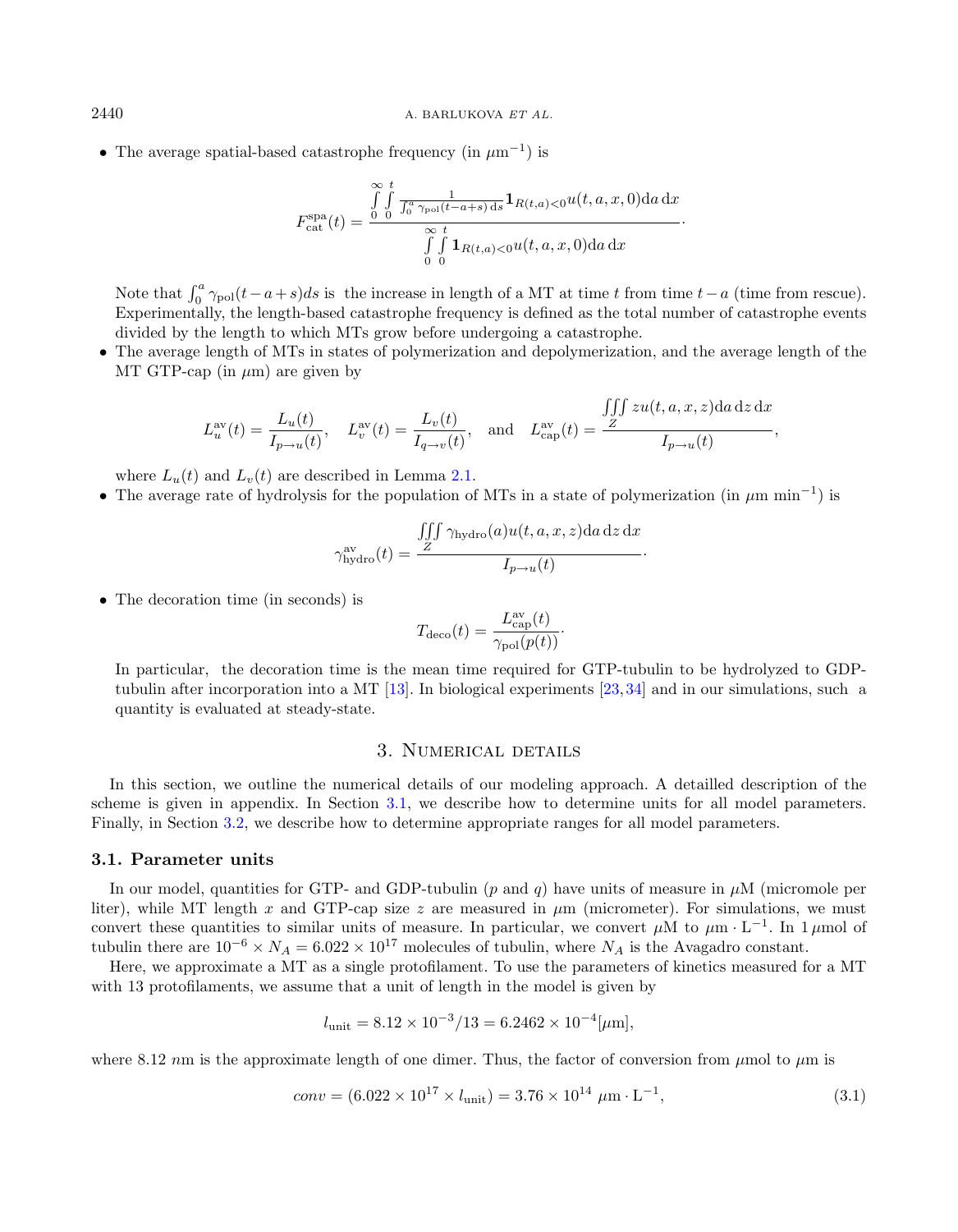• The average spatial-based catastrophe frequency (in  $\mu$ m<sup>-1</sup>) is

$$
F_{\text{cat}}^{\text{spa}}(t) = \frac{\int_{0}^{\infty} \int_{0}^{t} \frac{1}{\int_{0}^{a} \gamma_{\text{pol}}(t-a+s) \, ds} \mathbf{1}_{R(t,a) < 0} u(t,a,x,0) \, da \, dx}{\int_{0}^{\infty} \int_{0}^{t} \mathbf{1}_{R(t,a) < 0} u(t,a,x,0) \, da \, dx}.
$$

Note that  $\int_0^a \gamma_{pol}(t-a+s)ds$  is the increase in length of a MT at time t from time  $t-a$  (time from rescue). Experimentally, the length-based catastrophe frequency is defined as the total number of catastrophe events divided by the length to which MTs grow before undergoing a catastrophe.

• The average length of MTs in states of polymerization and depolymerization, and the average length of the MT GTP-cap (in  $\mu$ m) are given by

$$
L_u^{\text{av}}(t) = \frac{L_u(t)}{I_{p \to u}(t)}, \quad L_v^{\text{av}}(t) = \frac{L_v(t)}{I_{q \to v}(t)}, \quad \text{and} \quad L_{\text{cap}}^{\text{av}}(t) = \frac{\iiint z u(t, a, x, z) \, \text{d}a \, \text{d}z \, \text{d}x}{I_{p \to u}(t)},
$$

where  $L_u(t)$  and  $L_v(t)$  are described in Lemma [2.1.](#page-6-0)

• The average rate of hydrolysis for the population of MTs in a state of polymerization (in  $\mu$ m min<sup>-1</sup>) is

$$
\gamma_{\text{hydro}}^{\text{av}}(t) = \frac{\iiint \gamma_{\text{hydro}}(a)u(t, a, x, z) da dz dx}{I_{p \to u}(t)}.
$$

• The decoration time (in seconds) is

$$
T_{\text{deco}}(t) = \frac{L_{\text{cap}}^{\text{av}}(t)}{\gamma_{\text{pol}}(p(t))}.
$$

In particular, the decoration time is the mean time required for GTP-tubulin to be hydrolyzed to GDPtubulin after incorporation into a MT [\[13\]](#page-22-15). In biological experiments [\[23,](#page-23-15)[34\]](#page-23-14) and in our simulations, such a quantity is evaluated at steady-state.

# <span id="page-7-1"></span>3. Numerical details

In this section, we outline the numerical details of our modeling approach. A detailled description of the scheme is given in appendix. In Section [3.1,](#page-7-0) we describe how to determine units for all model parameters. Finally, in Section [3.2,](#page-8-0) we describe how to determine appropriate ranges for all model parameters.

# <span id="page-7-0"></span>3.1. Parameter units

In our model, quantities for GTP- and GDP-tubulin  $(p \text{ and } q)$  have units of measure in  $\mu$ M (micromole per liter), while MT length  $x$  and GTP-cap size  $z$  are measured in  $\mu$ m (micrometer). For simulations, we must convert these quantities to similar units of measure. In particular, we convert  $\mu$ M to  $\mu$ m · L<sup>-1</sup>. In 1 $\mu$ mol of tubulin there are  $10^{-6} \times N_A = 6.022 \times 10^{17}$  molecules of tubulin, where  $N_A$  is the Avagadro constant.

Here, we approximate a MT as a single protofilament. To use the parameters of kinetics measured for a MT with 13 protofilaments, we assume that a unit of length in the model is given by

$$
l_{\text{unit}} = 8.12 \times 10^{-3} / 13 = 6.2462 \times 10^{-4} [\mu \text{m}],
$$

where 8.12 nm is the approximate length of one dimer. Thus, the factor of conversion from  $\mu$ mol to  $\mu$ m is

$$
conv = (6.022 \times 10^{17} \times l_{\text{unit}}) = 3.76 \times 10^{14} \mu \text{m} \cdot \text{L}^{-1}, \tag{3.1}
$$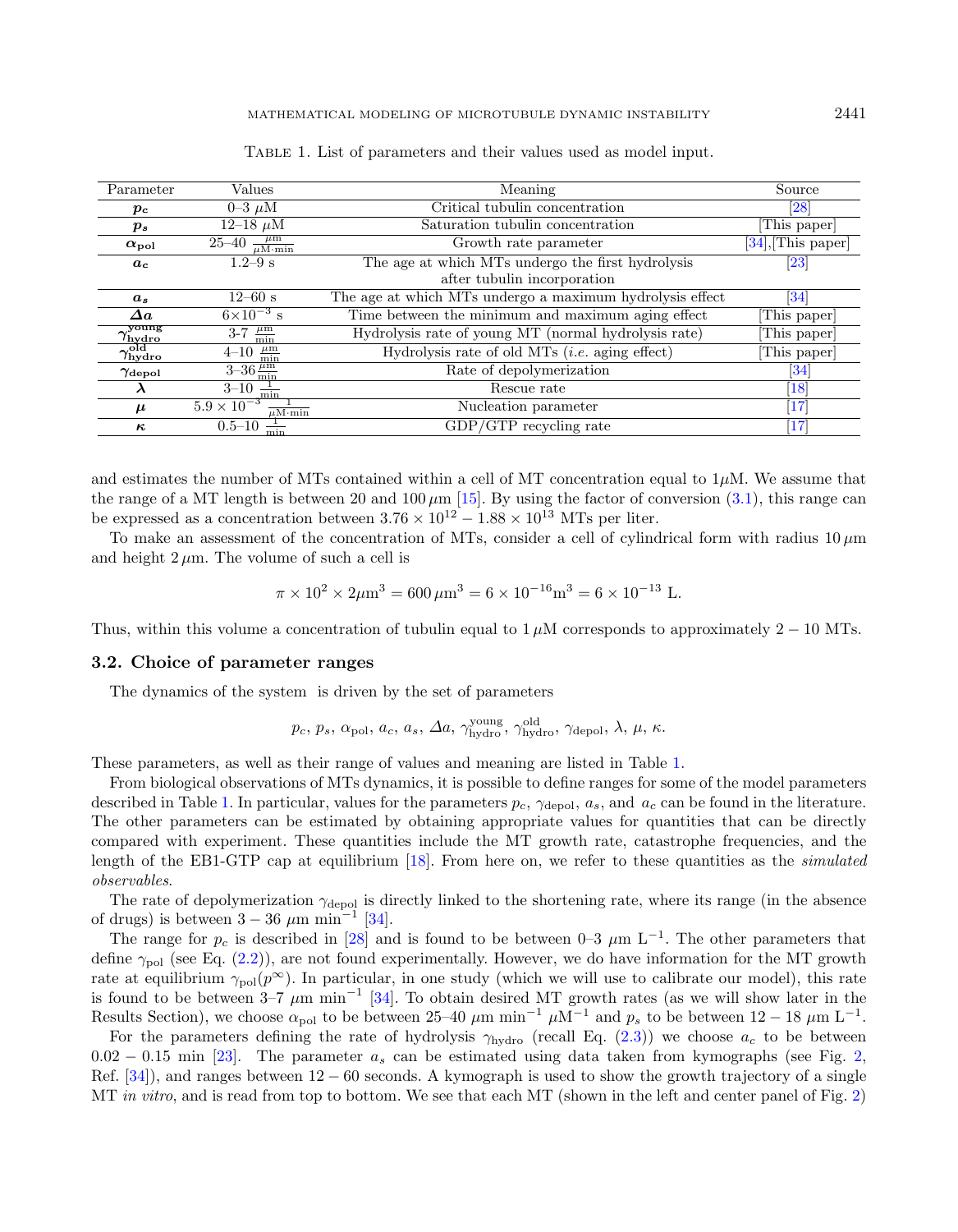| Parameter                   | Values                                | Meaning                                                  | Source             |
|-----------------------------|---------------------------------------|----------------------------------------------------------|--------------------|
| $p_c$                       | $0-3 \mu M$                           | Critical tubulin concentration                           | 28                 |
| $p_s$                       | 12–18 $\mu$ M                         | Saturation tubulin concentration                         | This paper]        |
| $\alpha_{\rm pol}$          | $25-40 \frac{\mu m}{\mu M \cdot min}$ | Growth rate parameter                                    | $[34],$ This paper |
| $a_c$                       | $1.2 - 9$ s                           | The age at which MTs undergo the first hydrolysis        | $\left  23\right $ |
|                             |                                       | after tubulin incorporation                              |                    |
| $a_s$                       | $12 - 60$ s                           | The age at which MTs undergo a maximum hydrolysis effect | 34                 |
| $\Delta a$                  | $6\times10^{-3}$ s                    | Time between the minimum and maximum aging effect        | [This paper]       |
| young<br><sup>Y</sup> hydro | 3-7 $\frac{\mu m}{\text{min}}$        | Hydrolysis rate of young MT (normal hydrolysis rate)     | [This paper]       |
| →old<br>γhydro              | 4-10 $\frac{\mu m}{\text{min}}$       | Hydrolysis rate of old MTs $(i.e.$ aging effect)         | This paper         |
| $\gamma_{\rm depol}$        | $3-36 \frac{\mu m}{\text{min}}$       | Rate of depolymerization                                 | 34                 |
| $\lambda$                   | $3-10 \frac{1}{2}$<br>min             | Rescue rate                                              | $\vert 18 \vert$   |
| $\boldsymbol{\mu}$          | $5.9 \times 10^{-3}$<br>$\mu$ M·min   | Nucleation parameter                                     | $\vert17\rangle$   |
| $\kappa$                    | $0.5 - 10$<br>$\frac{1}{\min}$        | $GDP/GTP$ recycling rate                                 | $\vert 17 \vert$   |

<span id="page-8-1"></span>Table 1. List of parameters and their values used as model input.

and estimates the number of MTs contained within a cell of MT concentration equal to  $1\mu$ M. We assume that the range of a MT length is between 20 and 100  $\mu$ m [\[15\]](#page-22-16). By using the factor of conversion [\(3.1\)](#page-7-1), this range can be expressed as a concentration between  $3.76 \times 10^{12} - 1.88 \times 10^{13}$  MTs per liter.

To make an assessment of the concentration of MTs, consider a cell of cylindrical form with radius  $10 \mu m$ and height  $2 \mu m$ . The volume of such a cell is

$$
\pi \times 10^2 \times 2 \mu m^3 = 600 \,\mu m^3 = 6 \times 10^{-16} \text{m}^3 = 6 \times 10^{-13} \text{ L}.
$$

Thus, within this volume a concentration of tubulin equal to  $1 \mu$ M corresponds to approximately 2 − 10 MTs.

### <span id="page-8-0"></span>3.2. Choice of parameter ranges

The dynamics of the system is driven by the set of parameters

$$
p_c,\,p_s,\,\alpha_{\rm pol},\,a_c,\,a_s,\,\varDelta a,\,\gamma^{\rm young}_{\rm hydro},\,\gamma^{\rm old}_{\rm hydro},\,\gamma_{\rm depol},\,\lambda,\,\mu,\,\kappa.
$$

These parameters, as well as their range of values and meaning are listed in Table [1.](#page-8-1)

From biological observations of MTs dynamics, it is possible to define ranges for some of the model parameters described in Table [1.](#page-8-1) In particular, values for the parameters  $p_c$ ,  $\gamma_{\rm depol}$ ,  $a_s$ , and  $a_c$  can be found in the literature. The other parameters can be estimated by obtaining appropriate values for quantities that can be directly compared with experiment. These quantities include the MT growth rate, catastrophe frequencies, and the length of the EB1-GTP cap at equilibrium [\[18\]](#page-22-14). From here on, we refer to these quantities as the *simulated* observables.

The rate of depolymerization  $\gamma_{\rm depol}$  is directly linked to the shortening rate, where its range (in the absence of drugs) is between  $3-36 \ \mu \text{m min}^{-1}$  [\[34\]](#page-23-14).

The range for  $p_c$  is described in [\[28\]](#page-23-17) and is found to be between 0–3  $\mu$ m L<sup>-1</sup>. The other parameters that define  $\gamma_{pol}$  (see Eq. [\(2.2\)](#page-3-1)), are not found experimentally. However, we do have information for the MT growth rate at equilibrium  $\gamma_{\text{pol}}(p^{\infty})$ . In particular, in one study (which we will use to calibrate our model), this rate is found to be between  $3-7 \mu m \text{ min}^{-1}$  [\[34\]](#page-23-14). To obtain desired MT growth rates (as we will show later in the Results Section), we choose  $\alpha_{pol}$  to be between 25–40  $\mu$ m min<sup>-1</sup>  $\mu$ M<sup>-1</sup> and  $p_s$  to be between 12 – 18  $\mu$ m L<sup>-1</sup>.

For the parameters defining the rate of hydrolysis  $\gamma_{\text{hydro}}$  (recall Eq. [\(2.3\)](#page-4-1)) we choose  $a_c$  to be between  $0.02 - 0.15$  min [\[23\]](#page-23-15). The parameter  $a_s$  can be estimated using data taken from kymographs (see Fig. [2,](#page-9-0) Ref. [\[34\]](#page-23-14)), and ranges between 12 − 60 seconds. A kymograph is used to show the growth trajectory of a single MT *in vitro*, and is read from top to bottom. We see that each MT (shown in the left and center panel of Fig. [2\)](#page-9-0)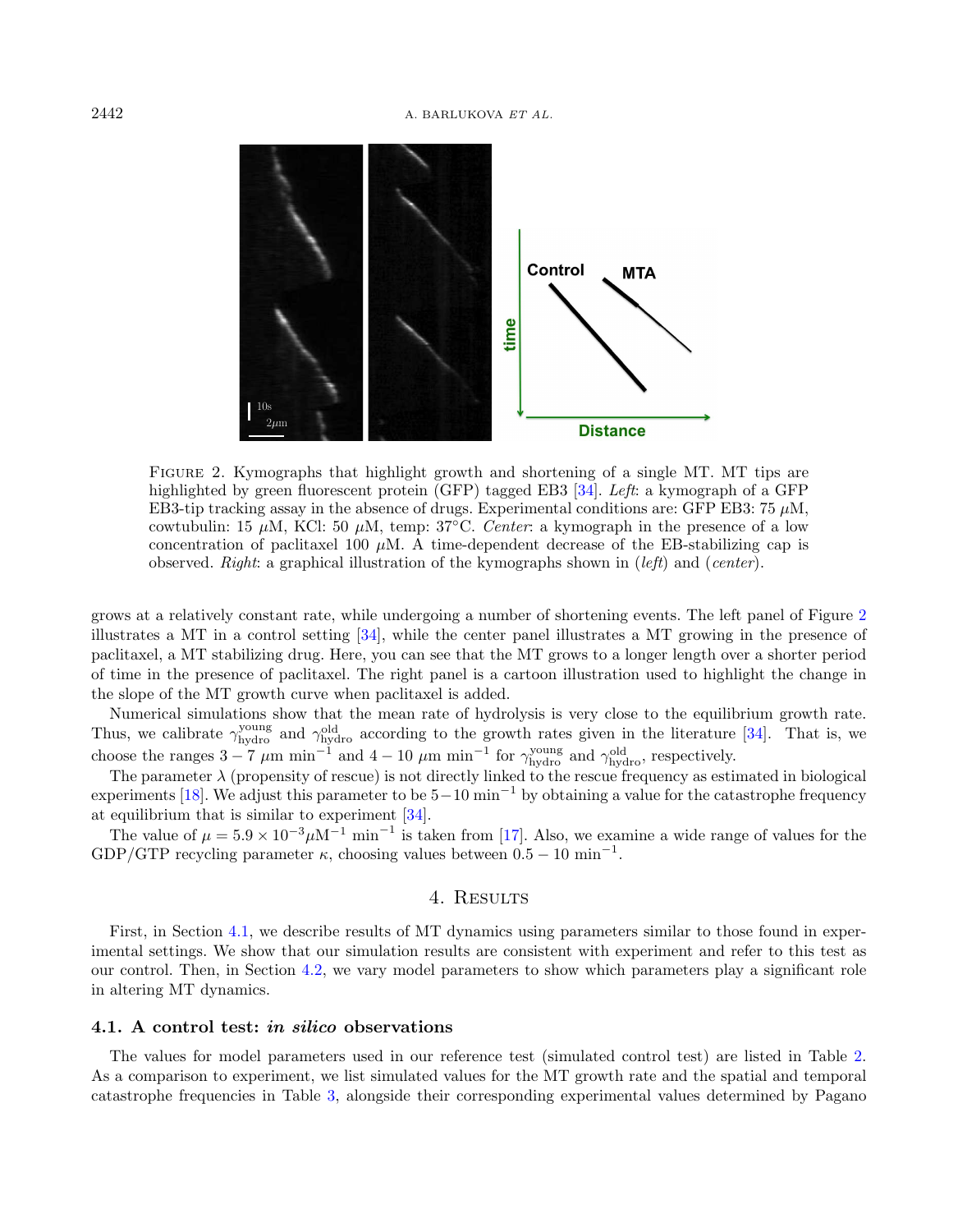<span id="page-9-0"></span>

Figure 2. Kymographs that highlight growth and shortening of a single MT. MT tips are highlighted by green fluorescent protein (GFP) tagged EB3 [\[34\]](#page-23-14). Left: a kymograph of a GFP EB3-tip tracking assay in the absence of drugs. Experimental conditions are: GFP EB3: 75  $\mu$ M, cowtubulin: 15  $\mu$ M, KCl: 50  $\mu$ M, temp: 37°C. Center: a kymograph in the presence of a low concentration of paclitaxel 100  $\mu$ M. A time-dependent decrease of the EB-stabilizing cap is observed. Right: a graphical illustration of the kymographs shown in  $(left)$  and  $(center)$ .

grows at a relatively constant rate, while undergoing a number of shortening events. The left panel of Figure [2](#page-9-0) illustrates a MT in a control setting [\[34\]](#page-23-14), while the center panel illustrates a MT growing in the presence of paclitaxel, a MT stabilizing drug. Here, you can see that the MT grows to a longer length over a shorter period of time in the presence of paclitaxel. The right panel is a cartoon illustration used to highlight the change in the slope of the MT growth curve when paclitaxel is added.

Numerical simulations show that the mean rate of hydrolysis is very close to the equilibrium growth rate. Thus, we calibrate  $\gamma_{\text{hydro}}^{\text{young}}$  and  $\gamma_{\text{hydro}}^{\text{old}}$  according to the growth rates given in the literature [\[34\]](#page-23-14). That is, we choose the ranges  $3 - 7 \mu m \text{ min}^{-1}$  and  $4 - 10 \mu m \text{ min}^{-1}$  for  $\gamma_{\text{hydro}}^{\text{pous}}$  and  $\gamma_{\text{hydro}}^{\text{old}}$ , respectively.

The parameter  $\lambda$  (propensity of rescue) is not directly linked to the rescue frequency as estimated in biological experiments [\[18\]](#page-22-14). We adjust this parameter to be  $5-10$  min<sup>-1</sup> by obtaining a value for the catastrophe frequency at equilibrium that is similar to experiment [\[34\]](#page-23-14).

The value of  $\mu = 5.9 \times 10^{-3} \mu M^{-1}$  min<sup>-1</sup> is taken from [\[17\]](#page-22-10). Also, we examine a wide range of values for the GDP/GTP recycling parameter  $\kappa$ , choosing values between  $0.5 - 10$  min<sup>-1</sup>.

# 4. Results

First, in Section [4.1,](#page-9-1) we describe results of MT dynamics using parameters similar to those found in experimental settings. We show that our simulation results are consistent with experiment and refer to this test as our control. Then, in Section [4.2,](#page-11-0) we vary model parameters to show which parameters play a significant role in altering MT dynamics.

# <span id="page-9-1"></span>4.1. A control test: in silico observations

The values for model parameters used in our reference test (simulated control test) are listed in Table [2.](#page-10-0) As a comparison to experiment, we list simulated values for the MT growth rate and the spatial and temporal catastrophe frequencies in Table [3,](#page-10-1) alongside their corresponding experimental values determined by Pagano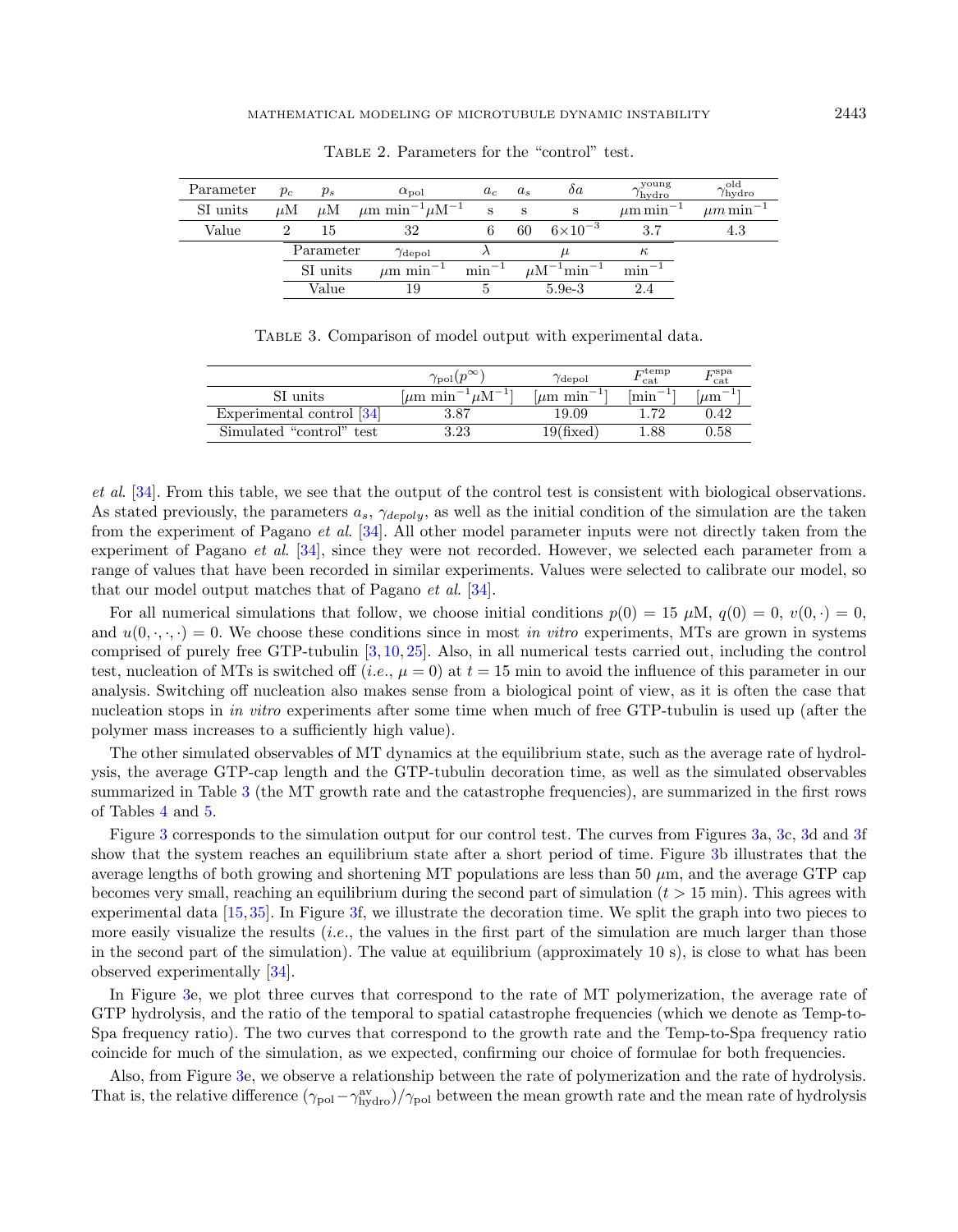| Parameter | $p_c$ | $p_s$     | $\alpha_{\rm pol}$                              | $a_c$       | $a_s$ | òа                                      | $\gamma_{\rm hydro}^{\rm young}$ | $\gamma_{\rm hydro}^{\rm old}$ |
|-----------|-------|-----------|-------------------------------------------------|-------------|-------|-----------------------------------------|----------------------------------|--------------------------------|
| SI units  | иΜ    | $\mu$ M   | $\mu$ m min <sup>-1</sup> $\mu$ M <sup>-1</sup> | S           | s     | S                                       | $\mu$ m min <sup>-1</sup>        | $\mu m$ min <sup>-1</sup>      |
| Value     |       | 15        | 32                                              |             | 60    | $6 \times 10^{-3}$                      | 3.7                              | 4.3                            |
|           |       | Parameter | $\gamma_{\rm depol}$                            |             |       |                                         | $\kappa$                         |                                |
|           |       | SI units  | $\mu$ m min <sup>-1</sup>                       | $\min^{-1}$ |       | $\mu$ M <sup>-1</sup> min <sup>-1</sup> | $\min^{-1}$                      |                                |
|           |       | Value     | 19                                              |             |       | $5.9e-3$                                |                                  |                                |

<span id="page-10-1"></span><span id="page-10-0"></span>Table 2. Parameters for the "control" test.

|  |  |  |  |  | TABLE 3. Comparison of model output with experimental data. |  |
|--|--|--|--|--|-------------------------------------------------------------|--|
|--|--|--|--|--|-------------------------------------------------------------|--|

|                           | $\gamma_{\rm pol}(p^\infty)$                   | $\gamma$ depol             | $E^{\text{temp}}$<br>cat. | $E^{\text{spa}}$<br>cat |
|---------------------------|------------------------------------------------|----------------------------|---------------------------|-------------------------|
| SI units                  | $[\mu m \; \text{min}^{-1} \mu \text{M}^{-1}]$ | $[\mu m \text{ min}^{-1}]$ | $\min^{-1}$               | $\mu$ m <sup>-1</sup>   |
| Experimental control [34] | 3.87                                           | 19.09                      | .72                       | 0.42                    |
| Simulated "control" test  | $3.23\,$                                       | 19(fixed)                  | 1.88                      | 0.58                    |

et al. [\[34\]](#page-23-14). From this table, we see that the output of the control test is consistent with biological observations. As stated previously, the parameters  $a_s$ ,  $\gamma_{depoly}$ , as well as the initial condition of the simulation are the taken from the experiment of Pagano et al. [\[34\]](#page-23-14). All other model parameter inputs were not directly taken from the experiment of Pagano et al. [\[34\]](#page-23-14), since they were not recorded. However, we selected each parameter from a range of values that have been recorded in similar experiments. Values were selected to calibrate our model, so that our model output matches that of Pagano et al. [\[34\]](#page-23-14).

For all numerical simulations that follow, we choose initial conditions  $p(0) = 15 \mu M$ ,  $q(0) = 0$ ,  $v(0, \cdot) = 0$ , and  $u(0, \cdot, \cdot, \cdot) = 0$ . We choose these conditions since in most in vitro experiments, MTs are grown in systems comprised of purely free GTP-tubulin [\[3,](#page-22-17) [10,](#page-22-18) [25\]](#page-23-18). Also, in all numerical tests carried out, including the control test, nucleation of MTs is switched off (*i.e.*,  $\mu = 0$ ) at  $t = 15$  min to avoid the influence of this parameter in our analysis. Switching off nucleation also makes sense from a biological point of view, as it is often the case that nucleation stops in in vitro experiments after some time when much of free GTP-tubulin is used up (after the polymer mass increases to a sufficiently high value).

The other simulated observables of MT dynamics at the equilibrium state, such as the average rate of hydrolysis, the average GTP-cap length and the GTP-tubulin decoration time, as well as the simulated observables summarized in Table [3](#page-10-1) (the MT growth rate and the catastrophe frequencies), are summarized in the first rows of Tables [4](#page-11-1) and [5.](#page-13-0)

Figure [3](#page-12-0) corresponds to the simulation output for our control test. The curves from Figures [3a](#page-12-0), [3c](#page-12-0), [3d](#page-12-0) and [3f](#page-12-0) show that the system reaches an equilibrium state after a short period of time. Figure [3b](#page-12-0) illustrates that the average lengths of both growing and shortening MT populations are less than 50  $\mu$ m, and the average GTP cap becomes very small, reaching an equilibrium during the second part of simulation  $(t > 15 \text{ min})$ . This agrees with experimental data [\[15,](#page-22-16)[35\]](#page-23-3). In Figure [3f](#page-12-0), we illustrate the decoration time. We split the graph into two pieces to more easily visualize the results *(i.e., the values in the first part of the simulation are much larger than those* in the second part of the simulation). The value at equilibrium (approximately 10 s), is close to what has been observed experimentally [\[34\]](#page-23-14).

In Figure [3e](#page-12-0), we plot three curves that correspond to the rate of MT polymerization, the average rate of GTP hydrolysis, and the ratio of the temporal to spatial catastrophe frequencies (which we denote as Temp-to-Spa frequency ratio). The two curves that correspond to the growth rate and the Temp-to-Spa frequency ratio coincide for much of the simulation, as we expected, confirming our choice of formulae for both frequencies.

Also, from Figure [3e](#page-12-0), we observe a relationship between the rate of polymerization and the rate of hydrolysis. That is, the relative difference  $(\gamma_{pol}-\gamma_{hydro}^{av})/\gamma_{pol}$  between the mean growth rate and the mean rate of hydrolysis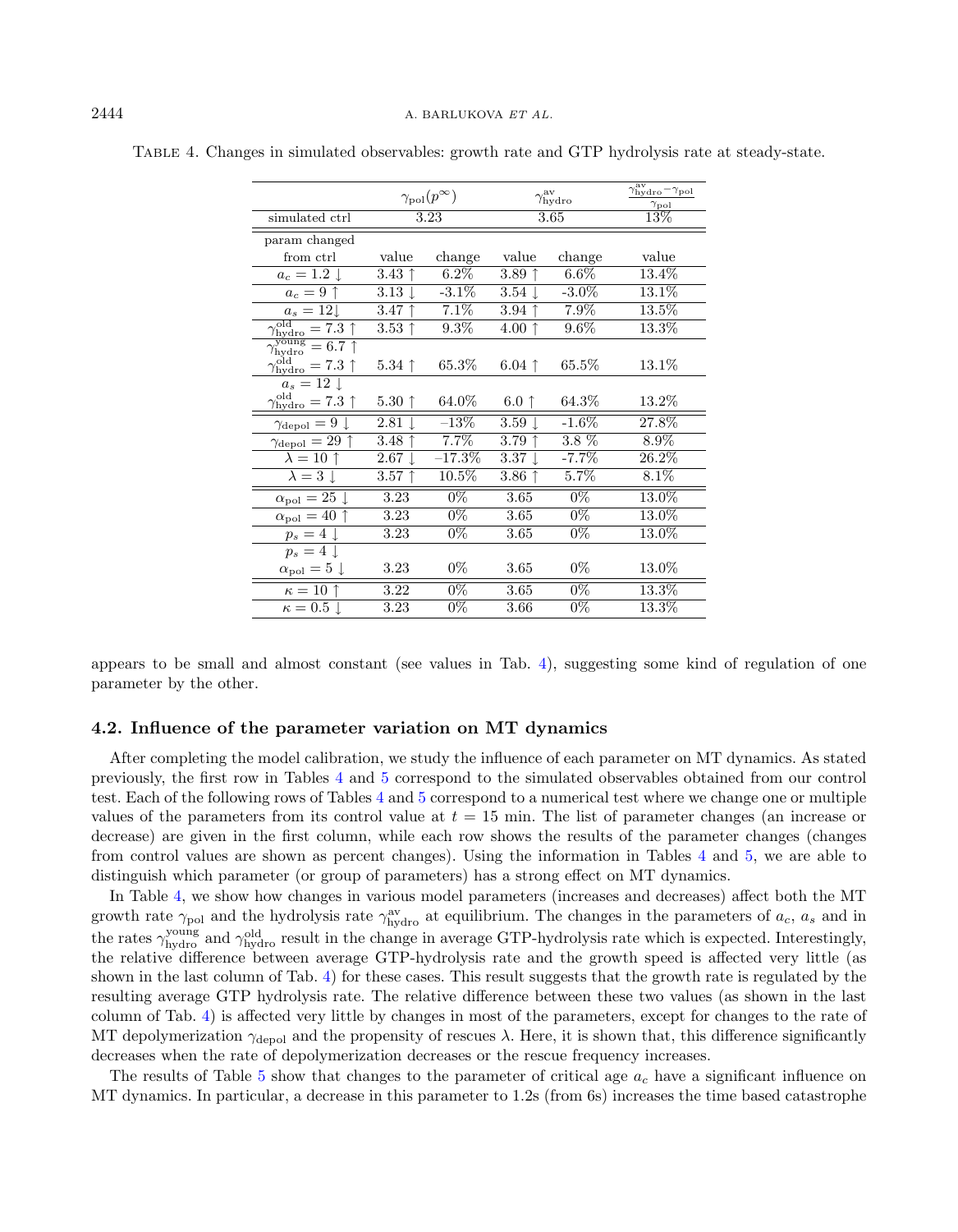|                                                                                                               | $\gamma_{\rm pol}(p^\infty)$ |           |              | $\gamma_\text{hydro}^\text{av}$ | av<br>$\gamma_{\rm hydro} - \gamma_{\rm pol}$ |
|---------------------------------------------------------------------------------------------------------------|------------------------------|-----------|--------------|---------------------------------|-----------------------------------------------|
| simulated ctrl                                                                                                |                              | 3.23      | 3.65         |                                 | $\gamma_{\rm pol}$<br>13%                     |
| param changed                                                                                                 |                              |           |              |                                 |                                               |
| from ctrl                                                                                                     | value                        | change    | value        | change                          | value                                         |
| $a_c = 1.2 \perp$                                                                                             | $3.43$ ↑                     | $6.2\%$   | $3.89$ ↑     | $6.6\%$                         | 13.4%                                         |
| $a_c=9$ $\uparrow$                                                                                            | $3.13 \downarrow$            | $-3.1\%$  | $3.54 \perp$ | $-3.0\%$                        | 13.1%                                         |
| $a_s = 12 \downarrow$                                                                                         | $3.47$ ↑                     | $7.1\%$   | $3.94$ ↑     | $7.9\%$                         | 13.5%                                         |
| $\frac{\gamma_{\text{hydro}}^{\text{old}}}{\gamma_{\text{hydro}}^{\text{young}}=6.7 \uparrow}_{\text{hydro}}$ | $3.53$ ↑                     | $9.3\%$   | $4.00$ ↑     | 9.6%                            | 13.3%                                         |
|                                                                                                               |                              |           |              |                                 |                                               |
| $\gamma^{\rm out}_{\rm hydro} = 7.3$ ↑                                                                        | $5.34$ ↑                     | $65.3\%$  | $6.04$ ↑     | $65.5\%$                        | 13.1\%                                        |
| $a_s = 12 \downarrow$                                                                                         |                              |           |              |                                 |                                               |
| $\gamma_{\rm hydro}^{\rm old} = 7.3$ †                                                                        | $5.30$ ↑                     | 64.0%     | $6.0$ ↑      | $64.3\%$                        | 13.2%                                         |
| $\gamma_{\rm depol}=9\downarrow$                                                                              | $2.81 \perp$                 | $-13\%$   | $3.59 \perp$ | $-1.6\%$                        | 27.8%                                         |
| $\gamma_{\rm depol}=29\uparrow$                                                                               | $3.48$ ↑                     | $7.7\%$   | $3.79$ ↑     | 3.8 %                           | $8.9\%$                                       |
| $\lambda = 10$ 1                                                                                              | 2.67                         | $-17.3\%$ | $3.37 \perp$ | $-7.7\%$                        | $26.2\%$                                      |
| $\lambda = 3$                                                                                                 | $3.57$ ↑                     | $10.5\%$  | $3.86$ ↑     | 5.7%                            | $8.1\%$                                       |
| $\alpha_{\rm pol} = 25 \downarrow$                                                                            | 3.23                         | $0\%$     | 3.65         | $0\%$                           | 13.0%                                         |
| $\alpha_{\rm pol} = 40$ ^                                                                                     | 3.23                         | $0\%$     | 3.65         | $0\%$                           | 13.0%                                         |
| $p_s = 4 \sqrt{ }$                                                                                            | 3.23                         | $0\%$     | 3.65         | $0\%$                           | 13.0%                                         |
| $p_s = 4 \downarrow$                                                                                          |                              |           |              |                                 |                                               |
| $\alpha_{\rm pol} = 5 \downarrow$                                                                             | 3.23                         | $0\%$     | 3.65         | $0\%$                           | $13.0\%$                                      |
| $\kappa = 10$                                                                                                 | 3.22                         | $0\%$     | 3.65         | $0\%$                           | 13.3%                                         |
| $\kappa = 0.5$ .                                                                                              | 3.23                         | $0\%$     | 3.66         | $0\%$                           | 13.3%                                         |

<span id="page-11-1"></span>Table 4. Changes in simulated observables: growth rate and GTP hydrolysis rate at steady-state.

appears to be small and almost constant (see values in Tab. [4\)](#page-11-1), suggesting some kind of regulation of one parameter by the other.

# <span id="page-11-0"></span>4.2. Influence of the parameter variation on MT dynamics

After completing the model calibration, we study the influence of each parameter on MT dynamics. As stated previously, the first row in Tables [4](#page-11-1) and [5](#page-13-0) correspond to the simulated observables obtained from our control test. Each of the following rows of Tables [4](#page-11-1) and [5](#page-13-0) correspond to a numerical test where we change one or multiple values of the parameters from its control value at  $t = 15$  min. The list of parameter changes (an increase or decrease) are given in the first column, while each row shows the results of the parameter changes (changes from control values are shown as percent changes). Using the information in Tables [4](#page-11-1) and [5,](#page-13-0) we are able to distinguish which parameter (or group of parameters) has a strong effect on MT dynamics.

In Table [4,](#page-11-1) we show how changes in various model parameters (increases and decreases) affect both the MT growth rate  $\gamma_{\text{pol}}$  and the hydrolysis rate  $\gamma_{\text{hydro}}^{\text{av}}$  at equilibrium. The changes in the parameters of  $a_c$ ,  $a_s$  and in the rates  $\gamma_{\text{hydro}}^{\text{pung}}$  and  $\gamma_{\text{hydro}}^{\text{old}}$  result in the change in average GTP-hydrolysis rate which is expected. Interestingly, the relative difference between average GTP-hydrolysis rate and the growth speed is affected very little (as shown in the last column of Tab. [4\)](#page-11-1) for these cases. This result suggests that the growth rate is regulated by the resulting average GTP hydrolysis rate. The relative difference between these two values (as shown in the last column of Tab. [4\)](#page-11-1) is affected very little by changes in most of the parameters, except for changes to the rate of MT depolymerization  $\gamma_{\rm depol}$  and the propensity of rescues  $\lambda$ . Here, it is shown that, this difference significantly decreases when the rate of depolymerization decreases or the rescue frequency increases.

The results of Table [5](#page-13-0) show that changes to the parameter of critical age  $a_c$  have a significant influence on MT dynamics. In particular, a decrease in this parameter to 1.2s (from 6s) increases the time based catastrophe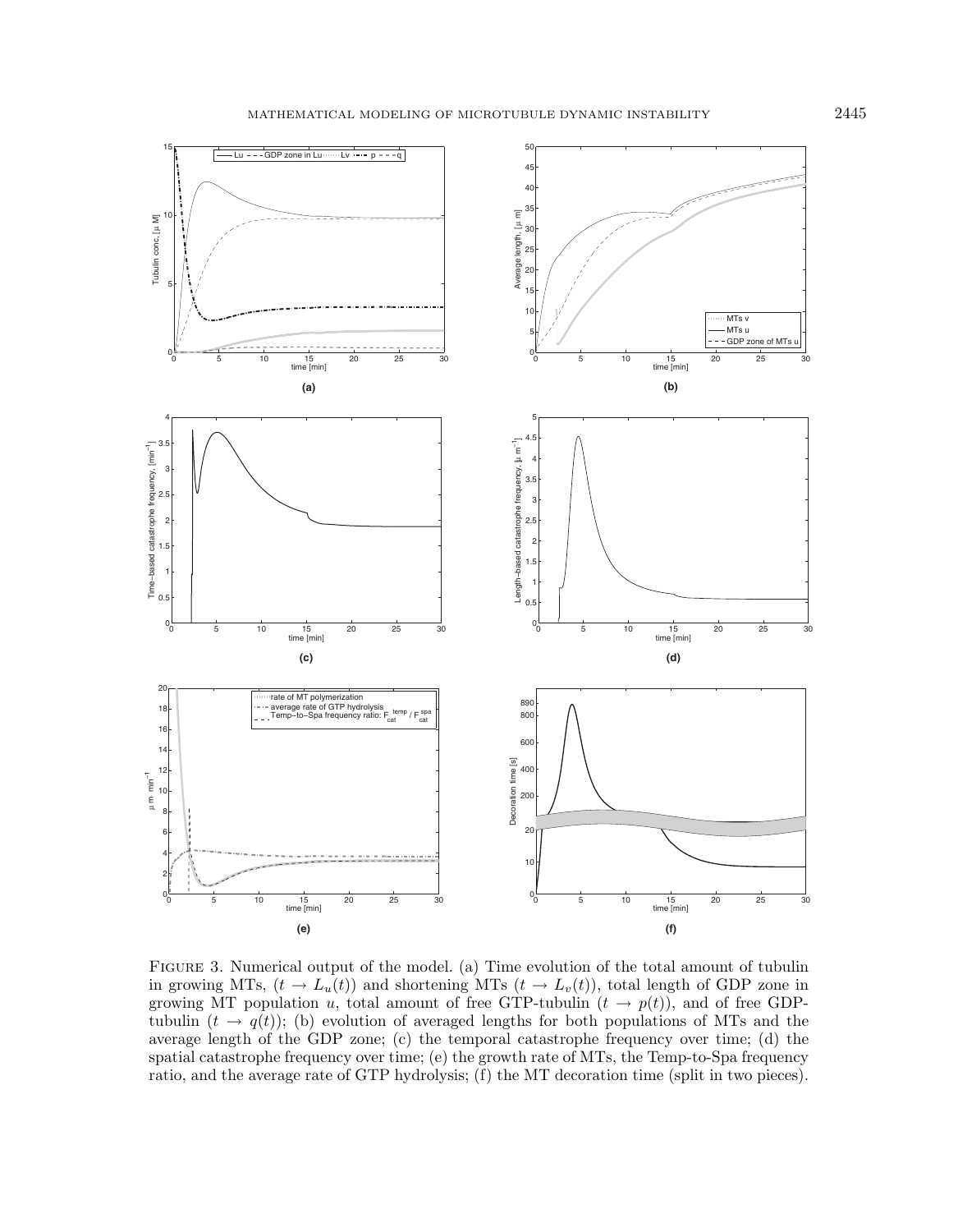

<span id="page-12-0"></span>Figure 3. Numerical output of the model. (a) Time evolution of the total amount of tubulin in growing MTs,  $(t \to L_u(t))$  and shortening MTs  $(t \to L_v(t))$ , total length of GDP zone in growing MT population u, total amount of free GTP-tubulin  $(t \to p(t))$ , and of free GDPtubulin  $(t \rightarrow q(t))$ ; (b) evolution of averaged lengths for both populations of MTs and the average length of the GDP zone; (c) the temporal catastrophe frequency over time; (d) the spatial catastrophe frequency over time; (e) the growth rate of MTs, the Temp-to-Spa frequency ratio, and the average rate of GTP hydrolysis; (f) the MT decoration time (split in two pieces).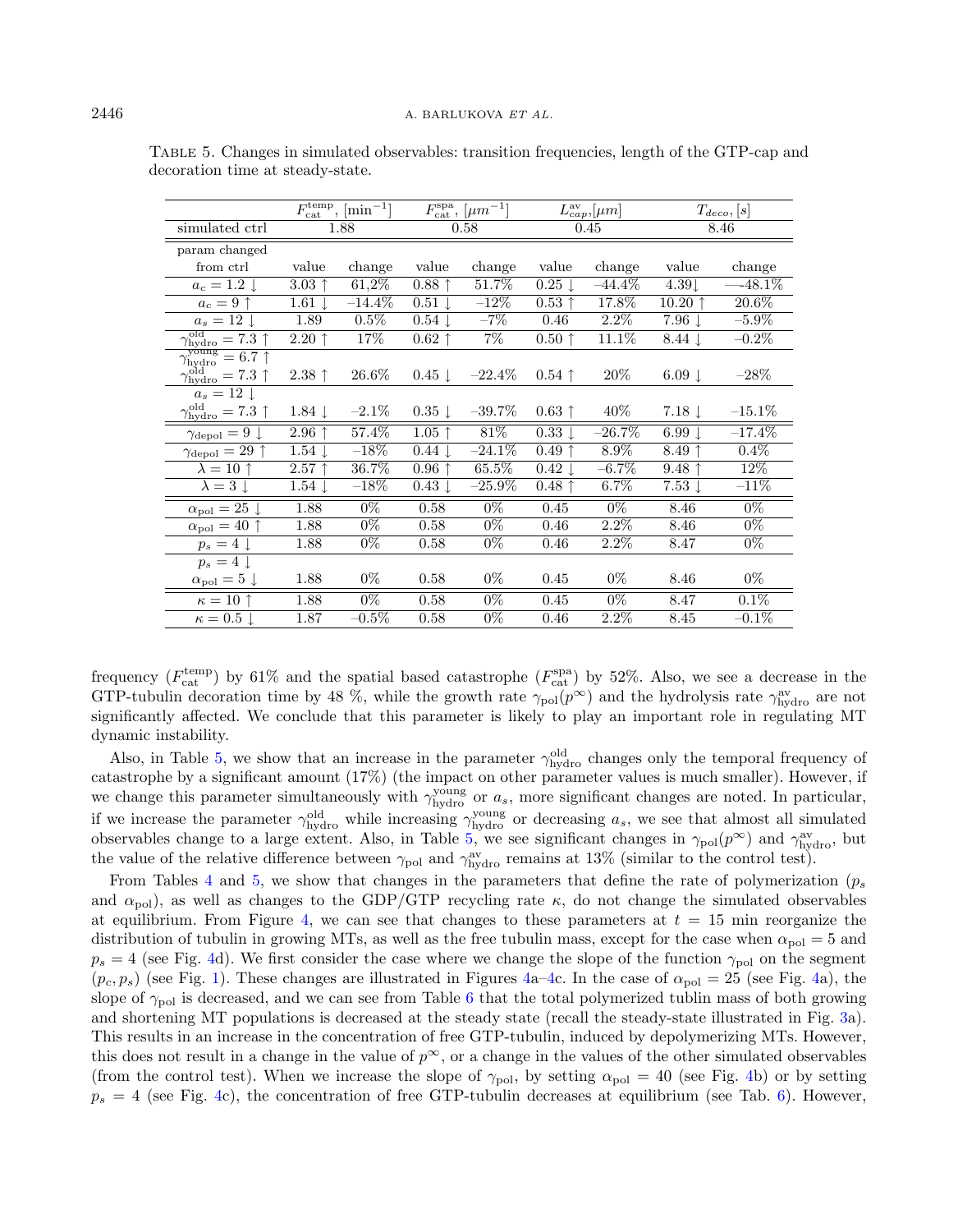|                                                                                                | $F_{\text{cat}}^{\text{temp}}, \, [\text{min}^{-1}]$ |           | $F_{\mathrm{cat}}^{\mathrm{spa}},\,[\mu m^{-1}]$ |           | $L_{cap}^{av},[\mu m]$ |           | $T_{deco}$ , [s]  |           |
|------------------------------------------------------------------------------------------------|------------------------------------------------------|-----------|--------------------------------------------------|-----------|------------------------|-----------|-------------------|-----------|
| simulated ctrl                                                                                 | 1.88                                                 |           | 0.58                                             |           | 0.45                   |           | 8.46              |           |
| param changed                                                                                  |                                                      |           |                                                  |           |                        |           |                   |           |
| from ctrl                                                                                      | value                                                | change    | value                                            | change    | value                  | change    | value             | change    |
| $a_c = 1.2 \downarrow$                                                                         | $3.03$ ↑                                             | $61,2\%$  | $0.88$ ↑                                         | 51.7%     | 0.25                   | $-44.4\%$ | 4.39              | $-48.1\%$ |
| $a_c = 9$                                                                                      | $1.61 \perp$                                         | $-14.4\%$ | $0.51 \perp$                                     | $-12\%$   | $0.53$ ↑               | 17.8%     | $10.20$ 1         | 20.6%     |
| $a_s=12\sqrt{1}$                                                                               | 1.89                                                 | $0.5\%$   | $0.54 \perp$                                     | $-7\%$    | 0.46                   | $2.2\%$   | $7.96 \perp$      | $-5.9\%$  |
| $\frac{\gamma_{\text{hydro}}^{\text{old}}}{\gamma_{\text{hydro}}^{\text{young}}=6.7 \uparrow}$ | $2.20$ ↑                                             | 17%       | $0.62$ ↑                                         | $7\%$     | $0.50$ ↑               | 11.1%     | $8.44 \downarrow$ | $-0.2\%$  |
|                                                                                                |                                                      |           |                                                  |           |                        |           |                   |           |
| $\gamma_{\rm hydro}^{\rm old} = 7.3$ †                                                         | $2.38$ ↑                                             | 26.6%     | $0.45 \downarrow$                                | $-22.4\%$ | $0.54$ ↑               | 20\%      | $6.09 \downarrow$ | $-28\%$   |
| $a_s = 12 \downarrow$                                                                          |                                                      |           |                                                  |           |                        |           |                   |           |
| $\gamma_{\text{hydro}}^{\text{old}} = 7.3$ ↑                                                   | $1.84 \downarrow$                                    | $-2.1\%$  | $0.35 \downarrow$                                | $-39.7\%$ | $0.63$ ↑               | $40\%$    | $7.18 \downarrow$ | $-15.1\%$ |
| $\gamma_{\rm depol}=9\downarrow$                                                               | $2.96$ ↑                                             | 57.4%     | $1.05$ ↑                                         | 81\%      | 0.33                   | $-26.7\%$ | $6.99 \perp$      | $-17.4\%$ |
| $\gamma_{\rm depol} = 29$ ^                                                                    | $1.54 \downarrow$                                    | $-18%$    | $0.44 \downarrow$                                | $-24.1\%$ | 0.49                   | 8.9%      | $8.49$ ↑          | 0.4%      |
| $\lambda = 10$ 1                                                                               | $2.57$ ↑                                             | 36.7%     | $0.96$ ↑                                         | 65.5%     | 0.42                   | $-6.7\%$  | $9.48$ ↑          | 12%       |
| $\lambda = 3$                                                                                  | $1.54 \downarrow$                                    | $-18\%$   | $0.43 \downarrow$                                | $-25.9\%$ | $0.48$ ↑               | $6.7\%$   | $7.53 \downarrow$ | $-11\%$   |
| $\alpha_{\rm pol} = 25 \text{ }\overline{\downarrow}$                                          | 1.88                                                 | $0\%$     | 0.58                                             | $0\%$     | 0.45                   | $0\%$     | 8.46              | $0\%$     |
| $\alpha_{\rm pol} = 40 \bar{\uparrow}$                                                         | 1.88                                                 | $0\%$     | 0.58                                             | $0\%$     | 0.46                   | $2.2\%$   | 8.46              | $0\%$     |
| $p_s = 4 \sqrt{ }$                                                                             | 1.88                                                 | $0\%$     | 0.58                                             | $0\%$     | 0.46                   | $2.2\%$   | 8.47              | $0\%$     |
| $p_s = 4 \downarrow$                                                                           |                                                      |           |                                                  |           |                        |           |                   |           |
| $\alpha_{\rm pol} = 5 \downarrow$                                                              | 1.88                                                 | $0\%$     | 0.58                                             | $0\%$     | 0.45                   | $0\%$     | 8.46              | $0\%$     |
| $\kappa = 10$ 1                                                                                | 1.88                                                 | $0\%$     | 0.58                                             | $0\%$     | 0.45                   | $0\%$     | 8.47              | $0.1\%$   |
| $\kappa = 0.5 \downarrow$                                                                      | 1.87                                                 | $-0.5\%$  | 0.58                                             | $0\%$     | 0.46                   | 2.2%      | 8.45              | $-0.1\%$  |

<span id="page-13-0"></span>Table 5. Changes in simulated observables: transition frequencies, length of the GTP-cap and decoration time at steady-state.

frequency  $(F_{cat}^{temp})$  by 61% and the spatial based catastrophe  $(F_{cat}^{spa})$  by 52%. Also, we see a decrease in the GTP-tubulin decoration time by 48 %, while the growth rate  $\gamma_{pol}(p^{\infty})$  and the hydrolysis rate  $\gamma_{hydro}^{av}$  are not significantly affected. We conclude that this parameter is likely to play an important role in regulating MT dynamic instability.

Also, in Table [5,](#page-13-0) we show that an increase in the parameter  $\gamma_{\text{hydro}}^{\text{old}}$  changes only the temporal frequency of catastrophe by a significant amount (17%) (the impact on other parameter values is much smaller). However, if we change this parameter simultaneously with  $\gamma_{\text{hydro}}^{\text{young}}$  or  $a_s$ , more significant changes are noted. In particular, if we increase the parameter  $\gamma_{\text{hydro}}^{\text{old}}$  while increasing  $\gamma_{\text{hydro}}^{\text{young}}$  or decreasing  $a_s$ , we see that almost all simulated observables change to a large extent. Also, in Table [5,](#page-13-0) we see significant changes in  $\gamma_{pol}(p^{\infty})$  and  $\gamma_{hydro}^{av}$ , but the value of the relative difference between  $\gamma_{pol}$  and  $\gamma_{hydro}^{av}$  remains at 13% (similar to the control test).

From Tables [4](#page-11-1) and [5,](#page-13-0) we show that changes in the parameters that define the rate of polymerization  $(p_s)$ and  $\alpha_{\text{pol}}$ ), as well as changes to the GDP/GTP recycling rate  $\kappa$ , do not change the simulated observables at equilibrium. From Figure [4,](#page-14-0) we can see that changes to these parameters at  $t = 15$  min reorganize the distribution of tubulin in growing MTs, as well as the free tubulin mass, except for the case when  $\alpha_{pol} = 5$  and  $p_s = 4$  (see Fig. [4d](#page-14-0)). We first consider the case where we change the slope of the function  $\gamma_{pol}$  on the segment  $(p_c, p_s)$  (see Fig. [1\)](#page-4-0). These changes are illustrated in Figures [4a–4c](#page-14-0). In the case of  $\alpha_{pol} = 25$  (see Fig. [4a](#page-14-0)), the slope of  $\gamma_{pol}$  is decreased, and we can see from Table [6](#page-15-0) that the total polymerized tublin mass of both growing and shortening MT populations is decreased at the steady state (recall the steady-state illustrated in Fig. [3a](#page-12-0)). This results in an increase in the concentration of free GTP-tubulin, induced by depolymerizing MTs. However, this does not result in a change in the value of  $p^{\infty}$ , or a change in the values of the other simulated observables (from the control test). When we increase the slope of  $\gamma_{pol}$ , by setting  $\alpha_{pol} = 40$  (see Fig. [4b](#page-14-0)) or by setting  $p_s = 4$  (see Fig. [4c](#page-14-0)), the concentration of free GTP-tubulin decreases at equilibrium (see Tab. [6\)](#page-15-0). However,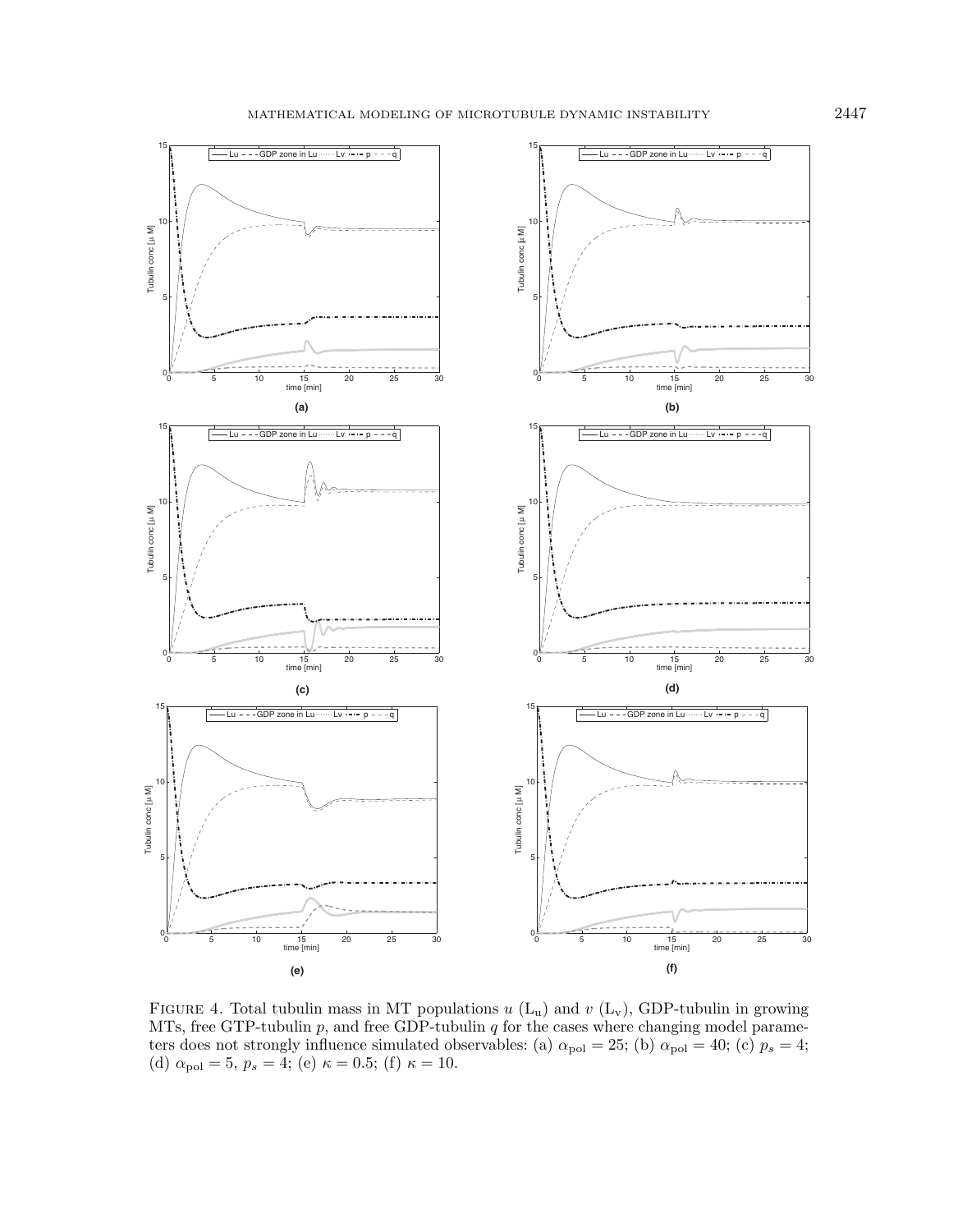

<span id="page-14-0"></span>FIGURE 4. Total tubulin mass in MT populations  $u(L_u)$  and  $v(L_v)$ , GDP-tubulin in growing  $MTs$ , free GTP-tubulin p, and free GDP-tubulin q for the cases where changing model parameters does not strongly influence simulated observables: (a)  $\alpha_{pol} = 25$ ; (b)  $\alpha_{pol} = 40$ ; (c)  $p_s = 4$ ; (d)  $\alpha_{pol} = 5, p_s = 4$ ; (e)  $\kappa = 0.5$ ; (f)  $\kappa = 10$ .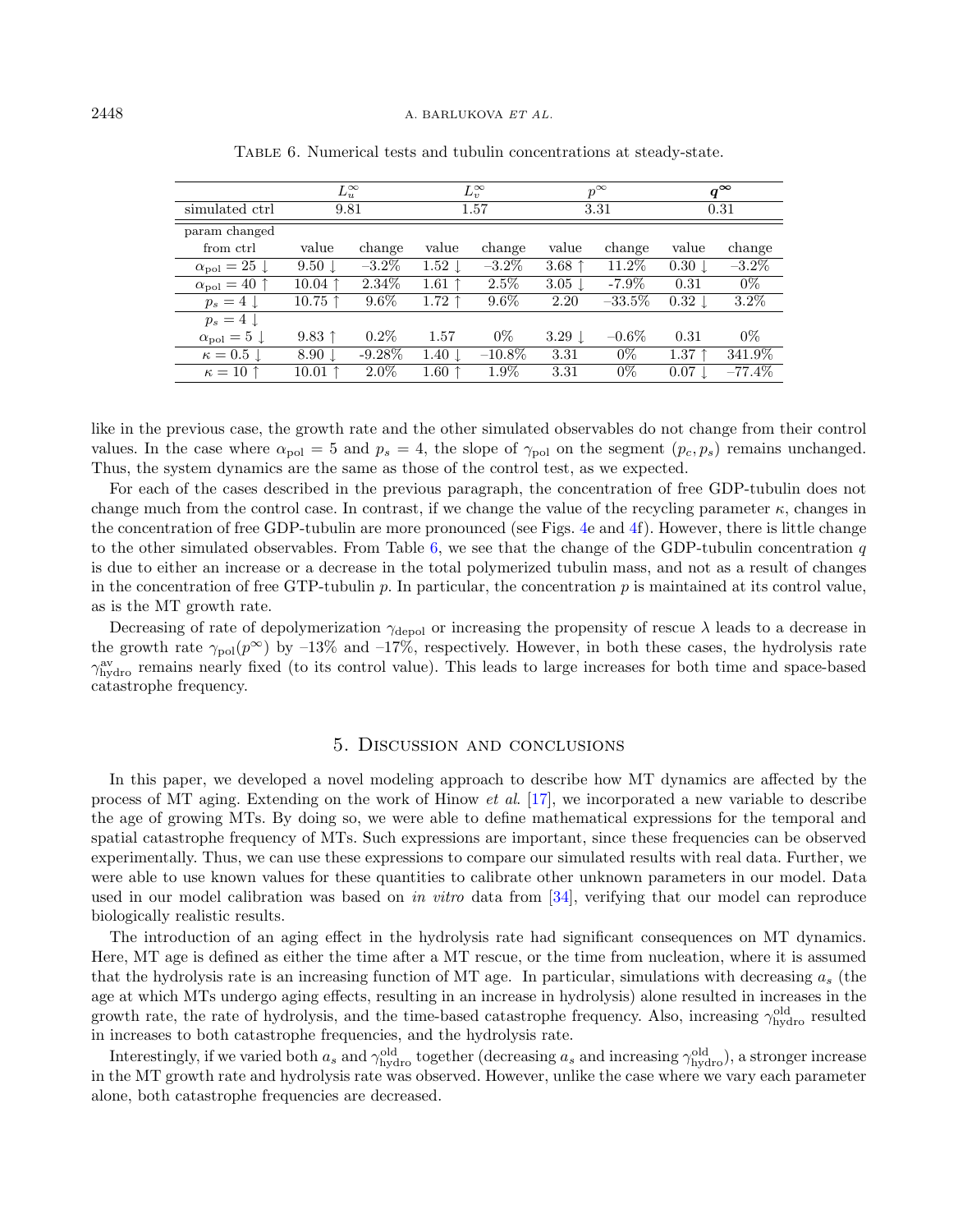|                                    | $L_u^{\infty}$    |           | $L_v^{\infty}$    |           | $p^{\infty}$ |           | $q^{\infty}$ |           |
|------------------------------------|-------------------|-----------|-------------------|-----------|--------------|-----------|--------------|-----------|
| simulated ctrl                     | 9.81              |           | 1.57              |           | 3.31         |           | 0.31         |           |
| param changed                      |                   |           |                   |           |              |           |              |           |
| from ctrl                          | value             | change    | value             | change    | value        | change    | value        | change    |
| $\alpha_{\rm pol} = 25 \downarrow$ | $9.50 \downarrow$ | $-3.2\%$  | $1.52 \perp$      | $-3.2\%$  | $3.68$ ↑     | 11.2%     | $0.30 \perp$ | $-3.2\%$  |
| $\alpha_{\rm pol} = 40$ ^          | $10.04$ ↑         | 2.34%     | $1.61$ ↑          | 2.5%      | $3.05 \perp$ | $-7.9\%$  | 0.31         | $0\%$     |
| $p_s = 4 \downarrow$               | $10.75$ 1         | $9.6\%$   | $1.72$ ↑          | $9.6\%$   | 2.20         | $-33.5\%$ | $0.32 \perp$ | $3.2\%$   |
| $p_s = 4 \downarrow$               |                   |           |                   |           |              |           |              |           |
| $\alpha_{\rm pol} = 5 \downarrow$  | $9.83$ ↑          | $0.2\%$   | 1.57              | $0\%$     | $3.29 \perp$ | $-0.6\%$  | 0.31         | $0\%$     |
| $\kappa = 0.5$ 1                   | $8.90 \downarrow$ | $-9.28\%$ | $1.40 \downarrow$ | $-10.8\%$ | 3.31         | $0\%$     | $1.37$ ↑     | 341.9%    |
| $\kappa = 10$ 1                    | $10.01$ ↑         | $2.0\%$   | $1.60$ ↑          | 1.9%      | 3.31         | $0\%$     | 0.07         | $-77.4\%$ |

<span id="page-15-0"></span>Table 6. Numerical tests and tubulin concentrations at steady-state.

like in the previous case, the growth rate and the other simulated observables do not change from their control values. In the case where  $\alpha_{\text{pol}} = 5$  and  $p_s = 4$ , the slope of  $\gamma_{\text{pol}}$  on the segment  $(p_c, p_s)$  remains unchanged. Thus, the system dynamics are the same as those of the control test, as we expected.

For each of the cases described in the previous paragraph, the concentration of free GDP-tubulin does not change much from the control case. In contrast, if we change the value of the recycling parameter  $\kappa$ , changes in the concentration of free GDP-tubulin are more pronounced (see Figs. [4e](#page-14-0) and [4f](#page-14-0)). However, there is little change to the other simulated observables. From Table [6,](#page-15-0) we see that the change of the GDP-tubulin concentration  $q$ is due to either an increase or a decrease in the total polymerized tubulin mass, and not as a result of changes in the concentration of free GTP-tubulin  $p$ . In particular, the concentration  $p$  is maintained at its control value. as is the MT growth rate.

Decreasing of rate of depolymerization  $\gamma_{\rm depol}$  or increasing the propensity of rescue  $\lambda$  leads to a decrease in the growth rate  $\gamma_{pol}(p^{\infty})$  by –13% and –17%, respectively. However, in both these cases, the hydrolysis rate γ av hydro remains nearly fixed (to its control value). This leads to large increases for both time and space-based catastrophe frequency.

# 5. Discussion and conclusions

In this paper, we developed a novel modeling approach to describe how MT dynamics are affected by the process of MT aging. Extending on the work of Hinow et al. [\[17\]](#page-22-10), we incorporated a new variable to describe the age of growing MTs. By doing so, we were able to define mathematical expressions for the temporal and spatial catastrophe frequency of MTs. Such expressions are important, since these frequencies can be observed experimentally. Thus, we can use these expressions to compare our simulated results with real data. Further, we were able to use known values for these quantities to calibrate other unknown parameters in our model. Data used in our model calibration was based on in vitro data from [\[34\]](#page-23-14), verifying that our model can reproduce biologically realistic results.

The introduction of an aging effect in the hydrolysis rate had significant consequences on MT dynamics. Here, MT age is defined as either the time after a MT rescue, or the time from nucleation, where it is assumed that the hydrolysis rate is an increasing function of MT age. In particular, simulations with decreasing  $a_s$  (the age at which MTs undergo aging effects, resulting in an increase in hydrolysis) alone resulted in increases in the growth rate, the rate of hydrolysis, and the time-based catastrophe frequency. Also, increasing  $\gamma_{\text{hydro}}^{\text{old}}$  resulted in increases to both catastrophe frequencies, and the hydrolysis rate.

Interestingly, if we varied both  $a_s$  and  $\gamma_{\text{hydro}}^{\text{old}}$  together (decreasing  $a_s$  and increasing  $\gamma_{\text{hydro}}^{\text{old}}$ ), a stronger increase in the MT growth rate and hydrolysis rate was observed. However, unlike the case where we vary each parameter alone, both catastrophe frequencies are decreased.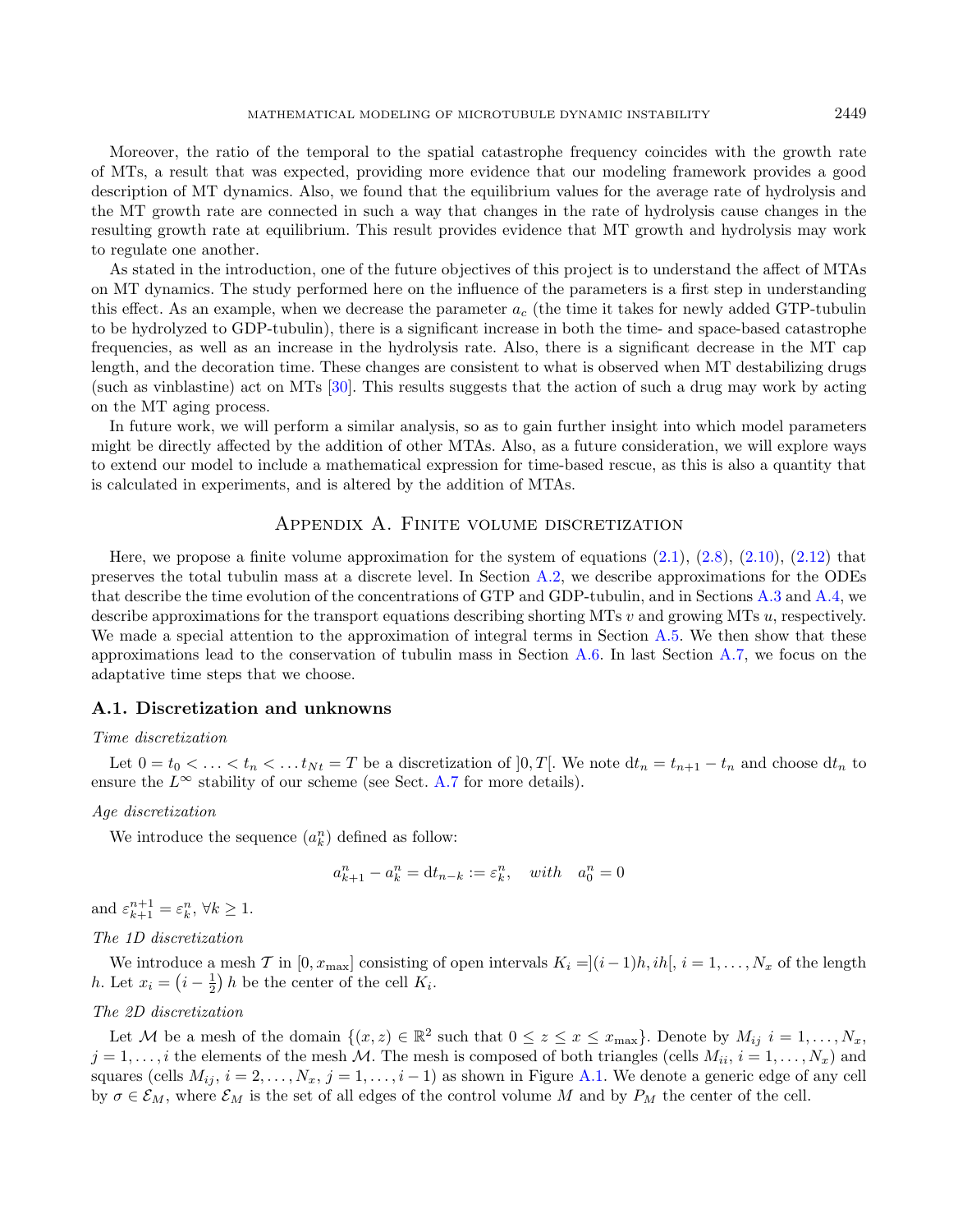#### MATHEMATICAL MODELING OF MICROTUBULE DYNAMIC INSTABILITY 2449

Moreover, the ratio of the temporal to the spatial catastrophe frequency coincides with the growth rate of MTs, a result that was expected, providing more evidence that our modeling framework provides a good description of MT dynamics. Also, we found that the equilibrium values for the average rate of hydrolysis and the MT growth rate are connected in such a way that changes in the rate of hydrolysis cause changes in the resulting growth rate at equilibrium. This result provides evidence that MT growth and hydrolysis may work to regulate one another.

As stated in the introduction, one of the future objectives of this project is to understand the affect of MTAs on MT dynamics. The study performed here on the influence of the parameters is a first step in understanding this effect. As an example, when we decrease the parameter  $a_c$  (the time it takes for newly added GTP-tubulin to be hydrolyzed to GDP-tubulin), there is a significant increase in both the time- and space-based catastrophe frequencies, as well as an increase in the hydrolysis rate. Also, there is a significant decrease in the MT cap length, and the decoration time. These changes are consistent to what is observed when MT destabilizing drugs (such as vinblastine) act on MTs [\[30\]](#page-23-12). This results suggests that the action of such a drug may work by acting on the MT aging process.

In future work, we will perform a similar analysis, so as to gain further insight into which model parameters might be directly affected by the addition of other MTAs. Also, as a future consideration, we will explore ways to extend our model to include a mathematical expression for time-based rescue, as this is also a quantity that is calculated in experiments, and is altered by the addition of MTAs.

# Appendix A. Finite volume discretization

Here, we propose a finite volume approximation for the system of equations  $(2.1)$ ,  $(2.8)$ ,  $(2.10)$ ,  $(2.12)$  that preserves the total tubulin mass at a discrete level. In Section [A.2,](#page-17-0) we describe approximations for the ODEs that describe the time evolution of the concentrations of GTP and GDP-tubulin, and in Sections [A.3](#page-17-1) and [A.4,](#page-18-0) we describe approximations for the transport equations describing shorting MTs v and growing MTs  $u$ , respectively. We made a special attention to the approximation of integral terms in Section [A.5.](#page-18-1) We then show that these approximations lead to the conservation of tubulin mass in Section [A.6.](#page-19-0) In last Section [A.7,](#page-22-19) we focus on the adaptative time steps that we choose.

### A.1. Discretization and unknowns

#### Time discretization

Let  $0 = t_0 < \ldots < t_n < \ldots t_{Nt} = T$  be a discretization of  $]0, T[$ . We note  $dt_n = t_{n+1} - t_n$  and choose  $dt_n$  to ensure the  $L^{\infty}$  stability of our scheme (see Sect. [A.7](#page-22-19) for more details).

#### Age discretization

We introduce the sequence  $(a_k^n)$  defined as follow:

$$
a_{k+1}^n - a_k^n = dt_{n-k} := \varepsilon_k^n, \quad with \quad a_0^n = 0
$$

and  $\varepsilon_{k+1}^{n+1} = \varepsilon_k^n, \forall k \ge 1.$ 

# The 1D discretization

We introduce a mesh T in  $[0, x_{\text{max}}]$  consisting of open intervals  $K_i = [(i-1)h, ih], i = 1, \ldots, N_x$  of the length h. Let  $x_i = \left(i - \frac{1}{2}\right)h$  be the center of the cell  $K_i$ .

# The 2D discretization

Let M be a mesh of the domain  $\{(x, z) \in \mathbb{R}^2 \text{ such that } 0 \leq z \leq x \leq x_{\text{max}}\}.$  Denote by  $M_{ij}$   $i = 1, \ldots, N_x$ ,  $j = 1, \ldots, i$  the elements of the mesh M. The mesh is composed of both triangles (cells  $M_{ii}$ ,  $i = 1, \ldots, N_x$ ) and squares (cells  $M_{ij}$ ,  $i = 2, \ldots, N_x$ ,  $j = 1, \ldots, i - 1$ ) as shown in Figure [A.1.](#page-17-2) We denote a generic edge of any cell by  $\sigma \in \mathcal{E}_M$ , where  $\mathcal{E}_M$  is the set of all edges of the control volume M and by  $P_M$  the center of the cell.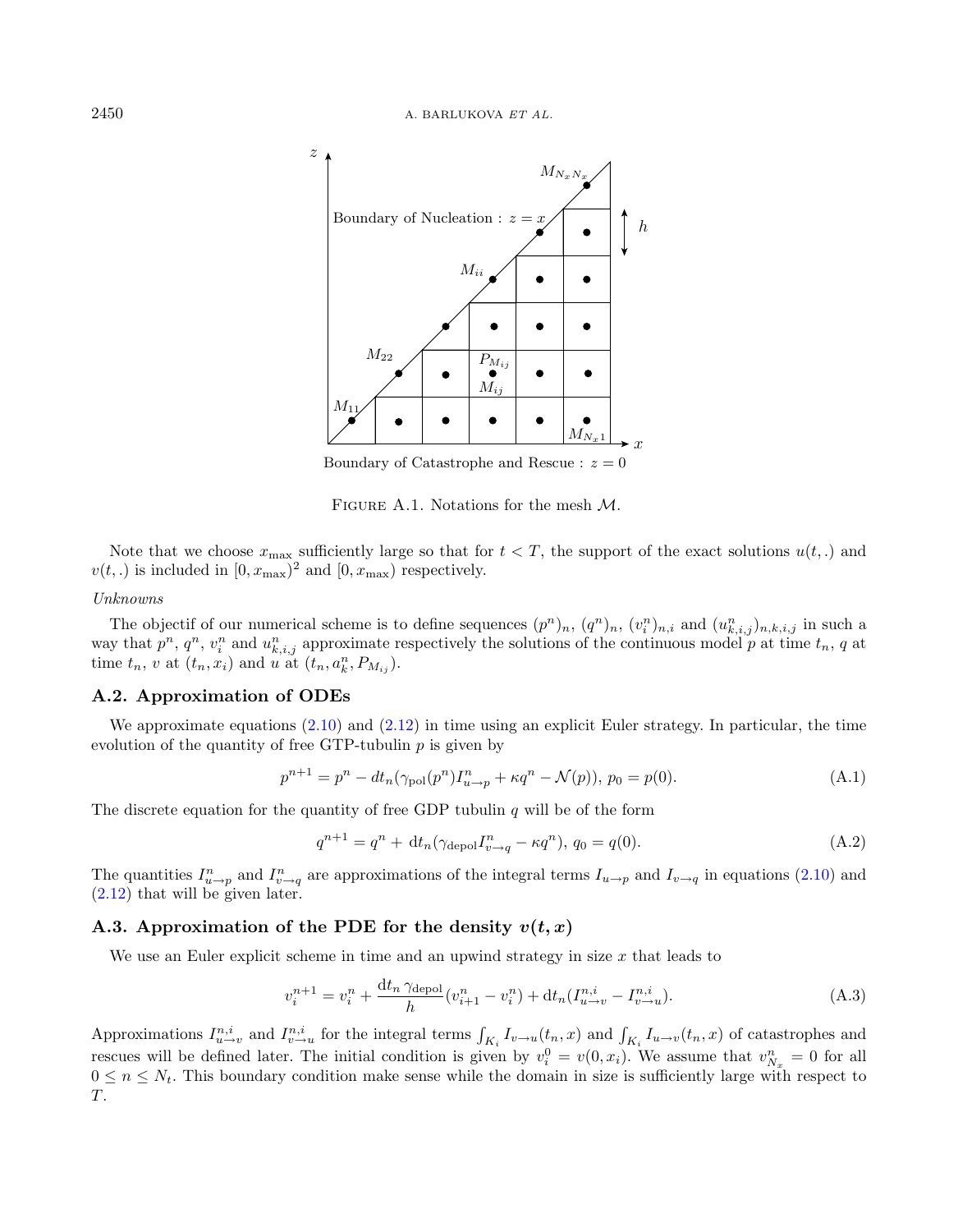<span id="page-17-2"></span>

Boundary of Catastrophe and Rescue :  $z = 0$ 

<span id="page-17-4"></span><span id="page-17-3"></span>FIGURE A.1. Notations for the mesh  $\mathcal{M}$ .

Note that we choose  $x_{\text{max}}$  sufficiently large so that for  $t < T$ , the support of the exact solutions  $u(t,.)$  and  $v(t,.)$  is included in  $[0, x_{\text{max}})^2$  and  $[0, x_{\text{max}})$  respectively.

# Unknowns

The objectif of our numerical scheme is to define sequences  $(p^n)_n$ ,  $(q^n)_n$ ,  $(v_i^n)_{n,i}$  and  $(u_{k,i,j}^n)_{n,k,i,j}$  in such a way that  $p^n, q^n, v_i^n$  and  $u_{k,i,j}^n$  approximate respectively the solutions of the continuous model  $p$  at time  $t_n$ , q at time  $t_n$ , v at  $(t_n, x_i)$  and u at  $(t_n, a_k^n, P_{M_{ij}})$ .

# <span id="page-17-0"></span>A.2. Approximation of ODEs

We approximate equations  $(2.10)$  and  $(2.12)$  in time using an explicit Euler strategy. In particular, the time evolution of the quantity of free GTP-tubulin  $p$  is given by

$$
p^{n+1} = p^n - dt_n(\gamma_{\text{pol}}(p^n)I_{u \to p}^n + \kappa q^n - \mathcal{N}(p)), \ p_0 = p(0). \tag{A.1}
$$

The discrete equation for the quantity of free GDP tubulin  $q$  will be of the form

<span id="page-17-5"></span>
$$
q^{n+1} = q^n + dt_n(\gamma_{\text{depol}} I_{v \to q}^n - \kappa q^n), \ q_0 = q(0). \tag{A.2}
$$

The quantities  $I_{u\to p}^n$  and  $I_{v\to q}^n$  are approximations of the integral terms  $I_{u\to p}$  and  $I_{v\to q}$  in equations [\(2.10\)](#page-5-1) and [\(2.12\)](#page-5-2) that will be given later.

# <span id="page-17-1"></span>A.3. Approximation of the PDE for the density  $v(t, x)$

We use an Euler explicit scheme in time and an upwind strategy in size  $x$  that leads to

$$
v_i^{n+1} = v_i^n + \frac{dt_n \gamma_{\text{depol}}}{h} (v_{i+1}^n - v_i^n) + dt_n (I_{u \to v}^{n,i} - I_{v \to u}^{n,i}). \tag{A.3}
$$

Approximations  $I_{u\to v}^{n,i}$  and  $I_{v\to u}^{n,i}$  for the integral terms  $\int_{K_i} I_{v\to u}(t_n, x)$  and  $\int_{K_i} I_{u\to v}(t_n, x)$  of catastrophes and rescues will be defined later. The initial condition is given by  $v_i^0 = v(0, x_i)$ . We assume that  $v_{N_x}^n = 0$  for all  $0 \leq n \leq N_t$ . This boundary condition make sense while the domain in size is sufficiently large with respect to  $T$ .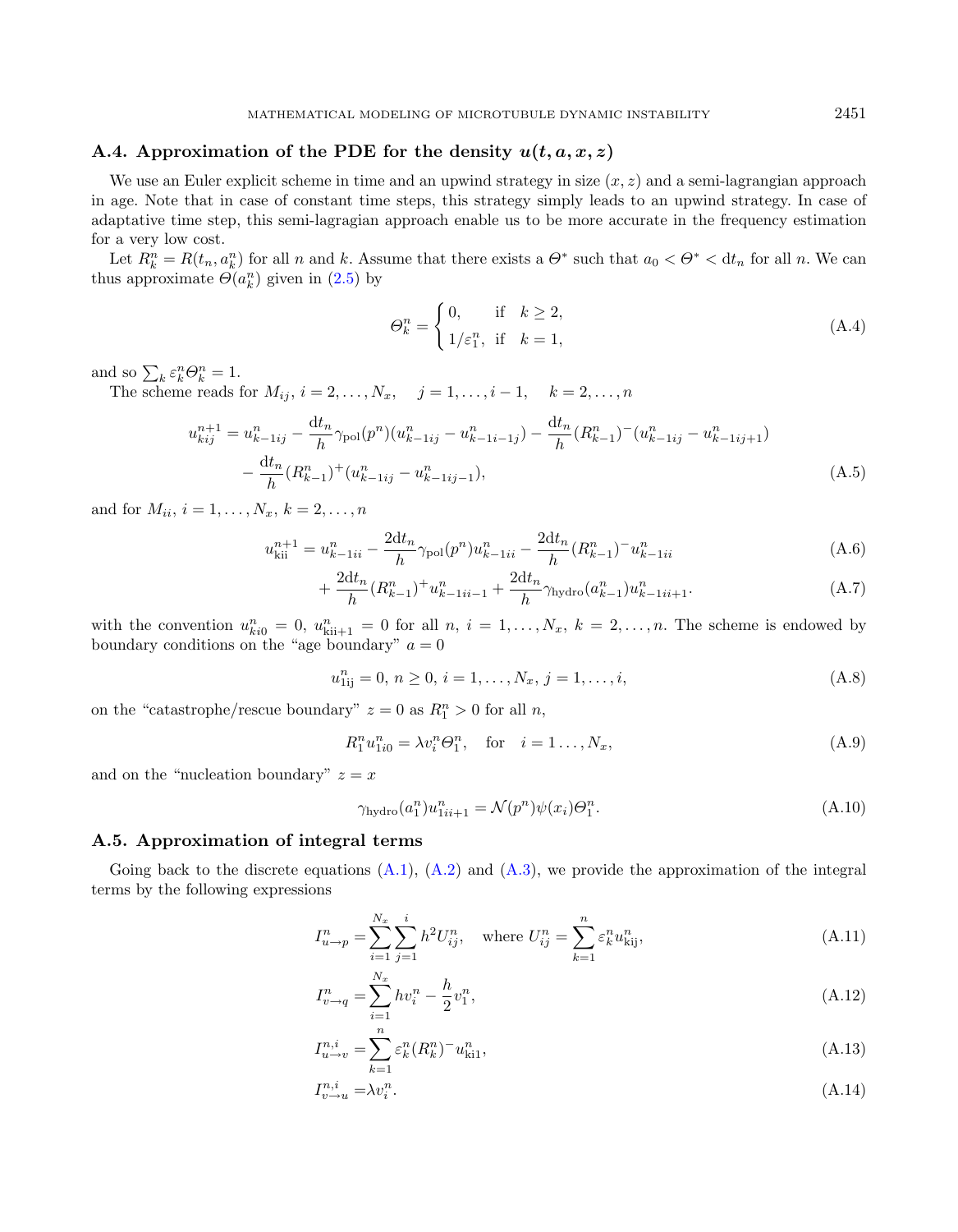# <span id="page-18-0"></span>A.4. Approximation of the PDE for the density  $u(t, a, x, z)$

We use an Euler explicit scheme in time and an upwind strategy in size  $(x, z)$  and a semi-lagrangian approach in age. Note that in case of constant time steps, this strategy simply leads to an upwind strategy. In case of adaptative time step, this semi-lagragian approach enable us to be more accurate in the frequency estimation for a very low cost.

Let  $R_k^n = R(t_n, a_k^n)$  for all n and k. Assume that there exists a  $\Theta^*$  such that  $a_0 < \Theta^* < dt_n$  for all n. We can thus approximate  $\Theta(a_k^n)$  given in [\(2.5\)](#page-4-2) by

<span id="page-18-5"></span><span id="page-18-4"></span>
$$
\Theta_k^n = \begin{cases} 0, & \text{if } k \ge 2, \\ 1/\varepsilon_1^n, & \text{if } k = 1, \end{cases} \tag{A.4}
$$

and so  $\sum_{k} \varepsilon_k^n \Theta_k^n = 1$ .

The scheme reads for  $M_{ij}$ ,  $i = 2, \ldots, N_x$ ,  $j = 1, \ldots, i - 1$ ,  $k = 2, \ldots, n$ 

$$
u_{kij}^{n+1} = u_{k-1ij}^n - \frac{dt_n}{h} \gamma_{\text{pol}}(p^n) (u_{k-1ij}^n - u_{k-1i-1j}^n) - \frac{dt_n}{h} (R_{k-1}^n)^-(u_{k-1ij}^n - u_{k-1ij+1}^n)
$$

$$
- \frac{dt_n}{h} (R_{k-1}^n)^+(u_{k-1ij}^n - u_{k-1ij-1}^n), \tag{A.5}
$$

and for  $M_{ii}$ ,  $i = 1, ..., N_x$ ,  $k = 2, ..., n$ 

$$
u_{\text{kii}}^{n+1} = u_{k-1ii}^n - \frac{2dt_n}{h} \gamma_{\text{pol}}(p^n) u_{k-1ii}^n - \frac{2dt_n}{h} (R_{k-1}^n)^{-} u_{k-1ii}^n \tag{A.6}
$$

$$
+\frac{2dt_n}{h}(R_{k-1}^n)^+u_{k-1ii-1}^n+\frac{2dt_n}{h}\gamma_{\text{hydro}}(a_{k-1}^n)u_{k-1ii+1}^n.
$$
\n(A.7)

with the convention  $u_{ki0}^n = 0$ ,  $u_{ki+1}^n = 0$  for all  $n, i = 1, ..., N_x, k = 2, ..., n$ . The scheme is endowed by boundary conditions on the "age boundary"  $a = 0$ 

$$
u_{1ij}^n = 0, n \ge 0, i = 1, \dots, N_x, j = 1, \dots, i,
$$
\n(A.8)

on the "catastrophe/rescue boundary"  $z = 0$  as  $R_1^n > 0$  for all  $n$ ,

$$
R_1^n u_{1i0}^n = \lambda v_i^n \Theta_1^n, \quad \text{for} \quad i = 1 \dots, N_x,
$$
\n(A.9)

and on the "nucleation boundary"  $z = x$ 

<span id="page-18-3"></span><span id="page-18-2"></span>
$$
\gamma_{\text{hydro}}(a_1^n)u_{1ii+1}^n = \mathcal{N}(p^n)\psi(x_i)\Theta_1^n. \tag{A.10}
$$

# <span id="page-18-1"></span>A.5. Approximation of integral terms

Going back to the discrete equations  $(A.1)$ ,  $(A.2)$  and  $(A.3)$ , we provide the approximation of the integral terms by the following expressions

$$
I_{u \to p}^{n} = \sum_{i=1}^{N_x} \sum_{j=1}^{i} h^2 U_{ij}^{n}, \quad \text{where } U_{ij}^{n} = \sum_{k=1}^{n} \varepsilon_k^{n} u_{\text{kij}}^{n}, \tag{A.11}
$$

$$
I_{v \to q}^{n} = \sum_{i=1}^{N_x} h v_i^{n} - \frac{h}{2} v_1^{n},
$$
\n(A.12)

$$
I_{u \to v}^{n,i} = \sum_{k=1}^{n} \varepsilon_k^n (R_k^n)^{-} u_{\text{kil}}^n, \tag{A.13}
$$

$$
I^{n,i}_{v \to u} = \lambda v_i^n. \tag{A.14}
$$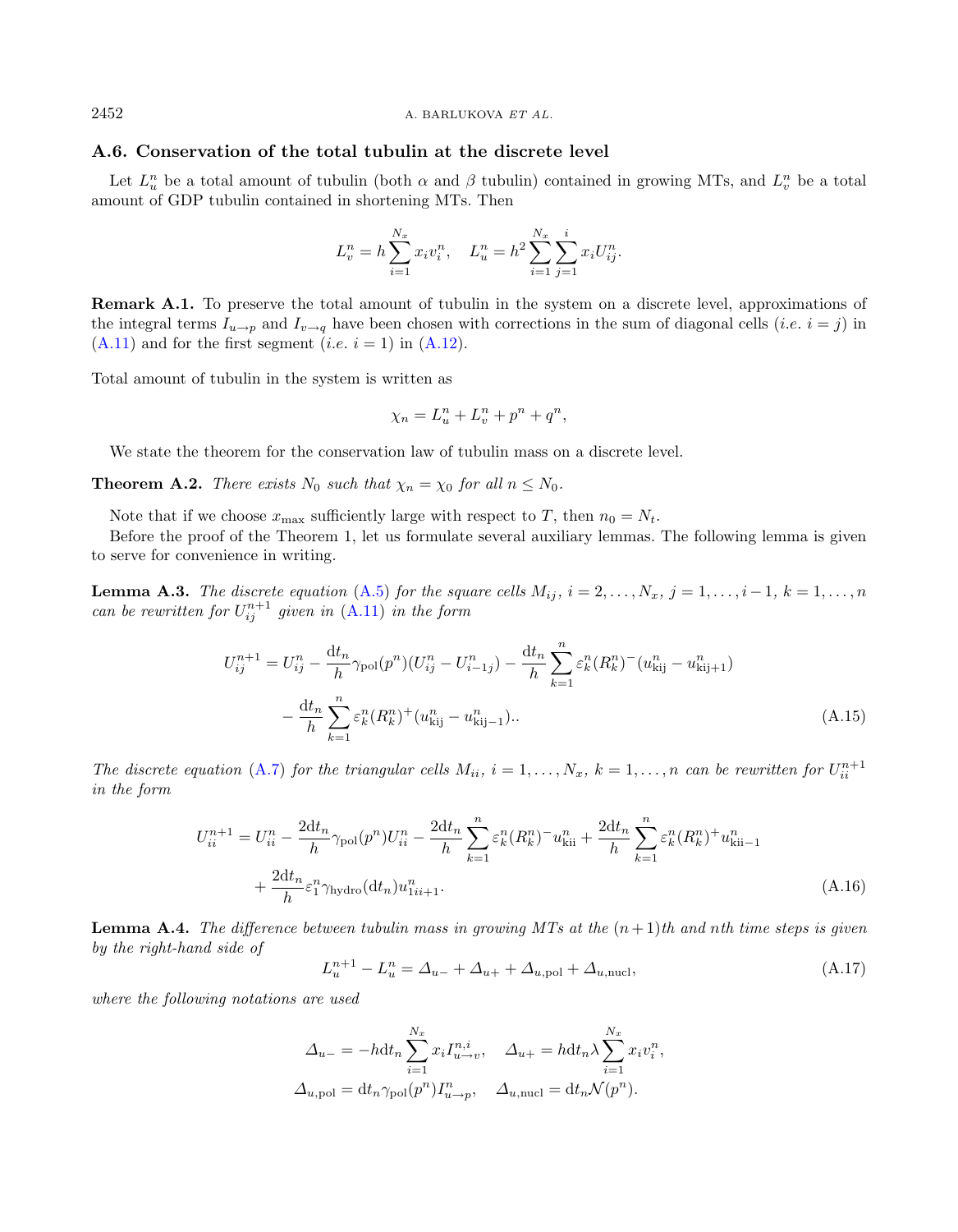## <span id="page-19-0"></span>A.6. Conservation of the total tubulin at the discrete level

Let  $L_u^n$  be a total amount of tubulin (both  $\alpha$  and  $\beta$  tubulin) contained in growing MTs, and  $L_v^n$  be a total amount of GDP tubulin contained in shortening MTs. Then

$$
L_v^n = h \sum_{i=1}^{N_x} x_i v_i^n, \quad L_u^n = h^2 \sum_{i=1}^{N_x} \sum_{j=1}^i x_i U_{ij}^n.
$$

Remark A.1. To preserve the total amount of tubulin in the system on a discrete level, approximations of the integral terms  $I_{u\to p}$  and  $I_{v\to q}$  have been chosen with corrections in the sum of diagonal cells (*i.e.*  $i = j$ ) in  $(A.11)$  and for the first segment (*i.e.*  $i = 1$ ) in  $(A.12)$ .

Total amount of tubulin in the system is written as

<span id="page-19-2"></span><span id="page-19-1"></span>
$$
\chi_n = L_u^n + L_v^n + p^n + q^n,
$$

We state the theorem for the conservation law of tubulin mass on a discrete level.

**Theorem A.2.** There exists  $N_0$  such that  $\chi_n = \chi_0$  for all  $n \leq N_0$ .

Note that if we choose  $x_{\text{max}}$  sufficiently large with respect to T, then  $n_0 = N_t$ .

Before the proof of the Theorem 1, let us formulate several auxiliary lemmas. The following lemma is given to serve for convenience in writing.

**Lemma A.3.** The discrete equation [\(A.5\)](#page-18-4) for the square cells  $M_{ij}$ ,  $i = 2, ..., N_x$ ,  $j = 1, ..., i - 1$ ,  $k = 1, ..., n$ can be rewritten for  $U_{ij}^{n+1}$  given in  $(A.11)$  in the form

<span id="page-19-3"></span>
$$
U_{ij}^{n+1} = U_{ij}^{n} - \frac{dt_{n}}{h} \gamma_{pol}(p^{n}) (U_{ij}^{n} - U_{i-1j}^{n}) - \frac{dt_{n}}{h} \sum_{k=1}^{n} \varepsilon_{k}^{n} (R_{k}^{n})^{-} (u_{kij}^{n} - u_{kij+1}^{n})
$$

$$
- \frac{dt_{n}}{h} \sum_{k=1}^{n} \varepsilon_{k}^{n} (R_{k}^{n})^{+} (u_{kij}^{n} - u_{kij-1}^{n}). \tag{A.15}
$$

The discrete equation [\(A.7\)](#page-18-5) for the triangular cells  $M_{ii}$ ,  $i = 1, ..., N_x$ ,  $k = 1, ..., n$  can be rewritten for  $U_{ii}^{n+1}$ in the form

$$
U_{ii}^{n+1} = U_{ii}^{n} - \frac{2dt_{n}}{h} \gamma_{pol}(p^{n}) U_{ii}^{n} - \frac{2dt_{n}}{h} \sum_{k=1}^{n} \varepsilon_{k}^{n} (R_{k}^{n})^{-} u_{ki}^{n} + \frac{2dt_{n}}{h} \sum_{k=1}^{n} \varepsilon_{k}^{n} (R_{k}^{n})^{+} u_{ki-1}^{n}
$$

$$
+ \frac{2dt_{n}}{h} \varepsilon_{1}^{n} \gamma_{hydro}(dt_{n}) u_{1i+1}^{n}.
$$
(A.16)

**Lemma A.4.** The difference between tubulin mass in growing MTs at the  $(n+1)$ th and nth time steps is given by the right-hand side of

$$
L_u^{n+1} - L_u^n = \Delta_{u-} + \Delta_{u+} + \Delta_{u,\text{pol}} + \Delta_{u,\text{nucl}},\tag{A.17}
$$

where the following notations are used

$$
\Delta_{u-} = -h \mathrm{d}t_n \sum_{i=1}^{N_x} x_i I_{u \to v}^{n,i}, \quad \Delta_{u+} = h \mathrm{d}t_n \lambda \sum_{i=1}^{N_x} x_i v_i^n,
$$

$$
\Delta_{u,\text{pol}} = \mathrm{d}t_n \gamma_{\text{pol}}(p^n) I_{u \to p}^n, \quad \Delta_{u,\text{nucl}} = \mathrm{d}t_n \mathcal{N}(p^n).
$$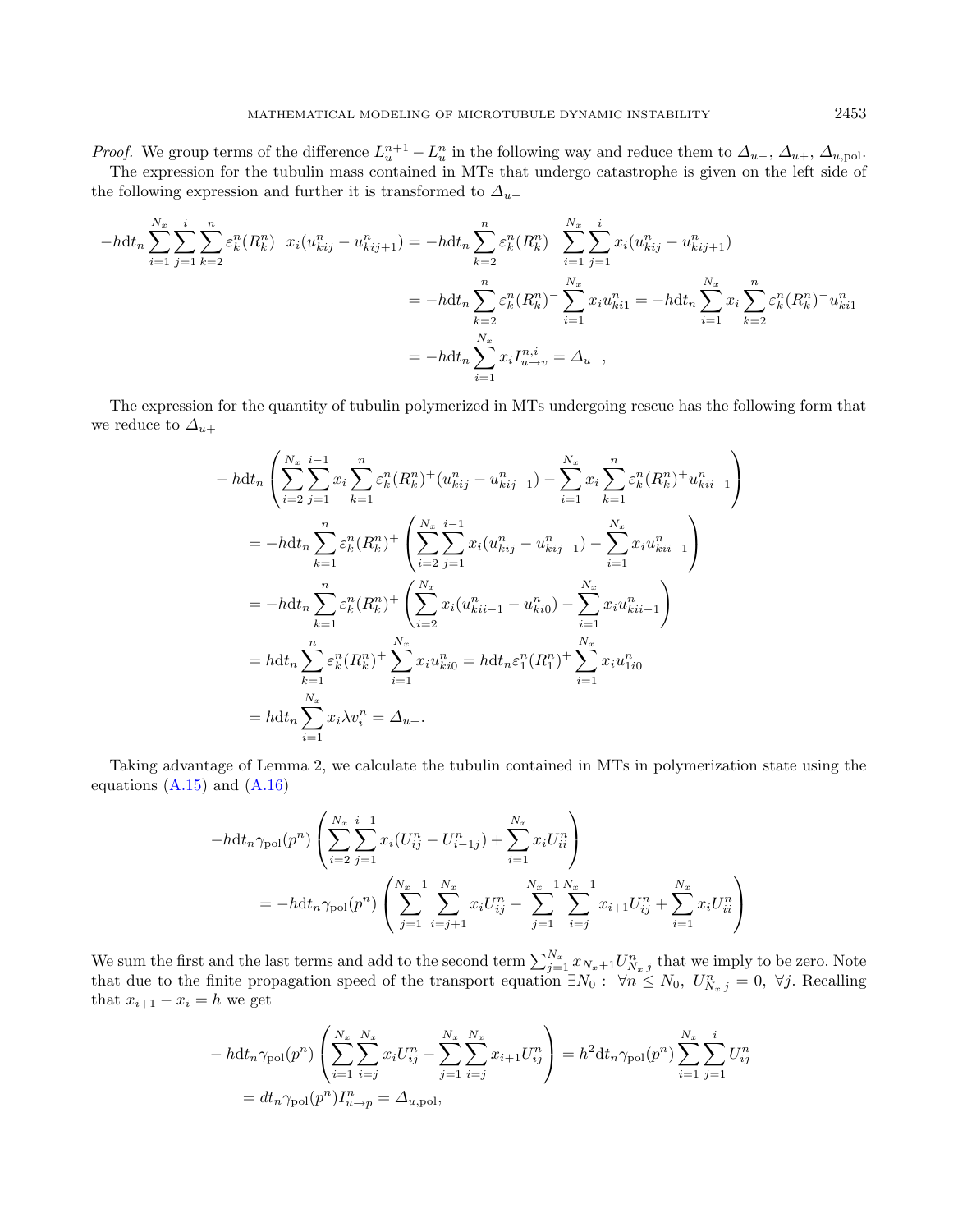*Proof.* We group terms of the difference  $L_u^{n+1} - L_u^n$  in the following way and reduce them to  $\Delta_{u-}$ ,  $\Delta_{u+}$ ,  $\Delta_{u,pol}$ .

The expression for the tubulin mass contained in MTs that undergo catastrophe is given on the left side of the following expression and further it is transformed to  $\Delta_{u-}$ 

$$
-hdt_{n}\sum_{i=1}^{N_{x}}\sum_{j=1}^{i}\sum_{k=2}^{n}\varepsilon_{k}^{n}(R_{k}^{n})^{-}x_{i}(u_{kij}^{n}-u_{kij+1}^{n})=-hdt_{n}\sum_{k=2}^{n}\varepsilon_{k}^{n}(R_{k}^{n})^{-}\sum_{i=1}^{N_{x}}\sum_{j=1}^{i}x_{i}(u_{kij}^{n}-u_{kij+1}^{n})
$$

$$
=-hdt_{n}\sum_{k=2}^{n}\varepsilon_{k}^{n}(R_{k}^{n})^{-}\sum_{i=1}^{N_{x}}x_{i}u_{ki1}^{n}=-hdt_{n}\sum_{i=1}^{N_{x}}x_{i}\sum_{k=2}^{n}\varepsilon_{k}^{n}(R_{k}^{n})^{-}u_{kii1}^{n}
$$

$$
=-hdt_{n}\sum_{i=1}^{N_{x}}x_{i}I_{u\to v}^{n,i}=\Delta_{u-},
$$

The expression for the quantity of tubulin polymerized in MTs undergoing rescue has the following form that we reduce to  $\Delta_{u+}$ 

$$
- hdt_n \left( \sum_{i=2}^{N_x} \sum_{j=1}^{i-1} x_i \sum_{k=1}^n \varepsilon_k^n (R_k^n)^+ (u_{kij}^n - u_{kij-1}^n) - \sum_{i=1}^{N_x} x_i \sum_{k=1}^n \varepsilon_k^n (R_k^n)^+ u_{kii-1}^n \right)
$$
  
\n
$$
= -hdt_n \sum_{k=1}^n \varepsilon_k^n (R_k^n)^+ \left( \sum_{i=2}^{N_x} \sum_{j=1}^{i-1} x_i (u_{kij}^n - u_{kij-1}^n) - \sum_{i=1}^{N_x} x_i u_{kii-1}^n \right)
$$
  
\n
$$
= -hdt_n \sum_{k=1}^n \varepsilon_k^n (R_k^n)^+ \left( \sum_{i=2}^{N_x} x_i (u_{kii-1}^n - u_{ki0}^n) - \sum_{i=1}^{N_x} x_i u_{kii-1}^n \right)
$$
  
\n
$$
= hdt_n \sum_{k=1}^n \varepsilon_k^n (R_k^n)^+ \sum_{i=1}^{N_x} x_i u_{ki0}^n = hdt_n \varepsilon_1^n (R_1^n)^+ \sum_{i=1}^{N_x} x_i u_{1i0}^n
$$
  
\n
$$
= hdt_n \sum_{i=1}^{N_x} x_i \lambda v_i^n = \Delta_{u+}.
$$

Taking advantage of Lemma 2, we calculate the tubulin contained in MTs in polymerization state using the equations [\(A.15\)](#page-19-1) and [\(A.16\)](#page-19-2)

$$
-h dt_n \gamma_{\text{pol}}(p^n) \left( \sum_{i=2}^{N_x} \sum_{j=1}^{i-1} x_i (U_{ij}^n - U_{i-1j}^n) + \sum_{i=1}^{N_x} x_i U_{ii}^n \right)
$$
  
=  $-h dt_n \gamma_{\text{pol}}(p^n) \left( \sum_{j=1}^{N_x-1} \sum_{i=j+1}^{N_x} x_i U_{ij}^n - \sum_{j=1}^{N_x-1} \sum_{i=j}^{N_x-1} x_{i+1} U_{ij}^n + \sum_{i=1}^{N_x} x_i U_{ii}^n \right)$ 

We sum the first and the last terms and add to the second term  $\sum_{j=1}^{N_x} x_{N_x+1} U_{N_x,j}^n$  that we imply to be zero. Note that due to the finite propagation speed of the transport equation  $\exists N_0: \forall n \leq N_0, U_{N_x,j}^n = 0, \forall j$ . Recalling that  $x_{i+1} - x_i = h$  we get

$$
- hdt_n \gamma_{\text{pol}}(p^n) \left( \sum_{i=1}^{N_x} \sum_{i=j}^{N_x} x_i U_{ij}^n - \sum_{j=1}^{N_x} \sum_{i=j}^{N_x} x_{i+1} U_{ij}^n \right) = h^2 dt_n \gamma_{\text{pol}}(p^n) \sum_{i=1}^{N_x} \sum_{j=1}^i U_{ij}^n
$$
  
=  $dt_n \gamma_{\text{pol}}(p^n) I_{u \to p}^n = \Delta_{u,\text{pol}}$ ,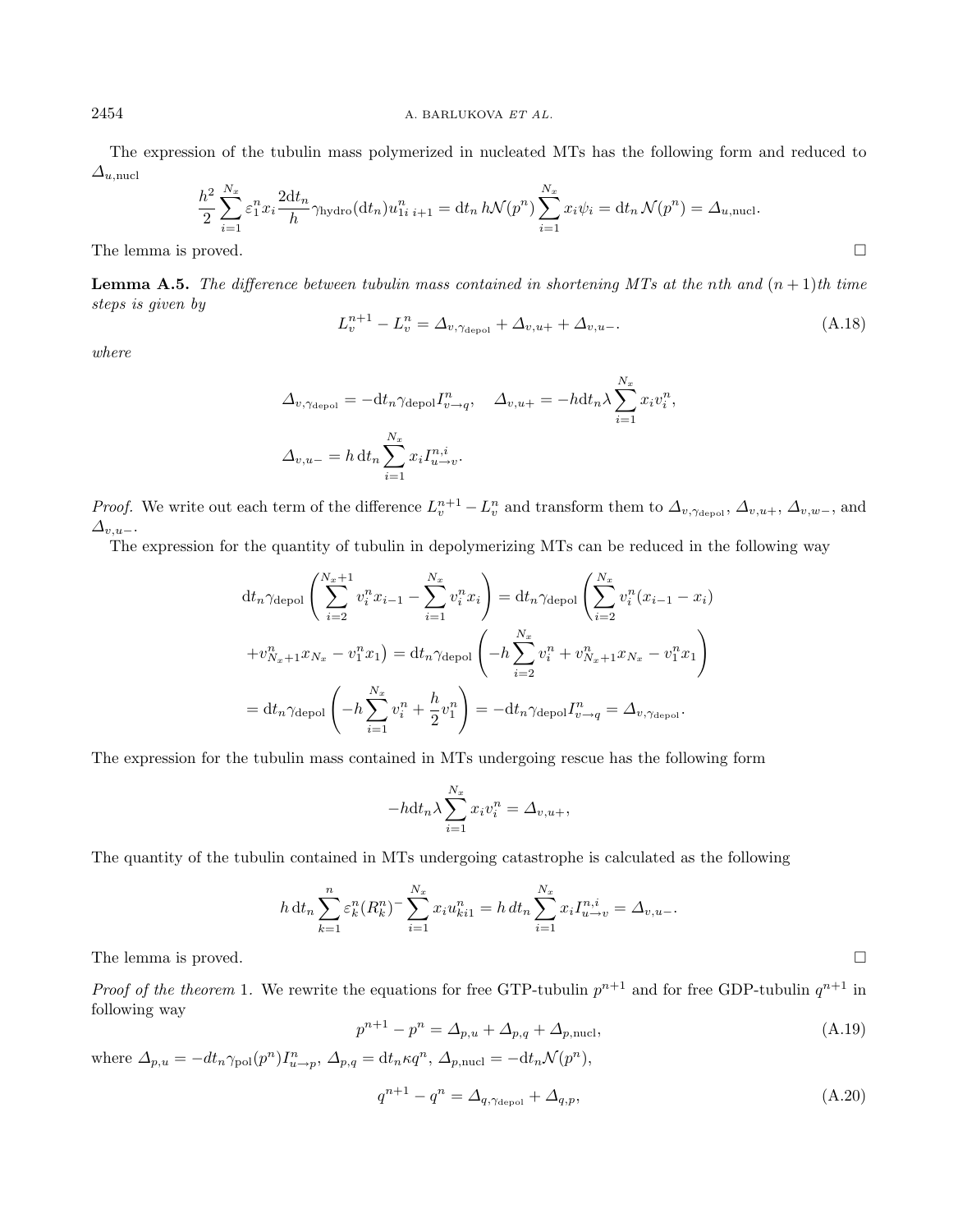The expression of the tubulin mass polymerized in nucleated MTs has the following form and reduced to  $\Delta_{u,\text{nucl}}$ 

$$
\frac{h^2}{2} \sum_{i=1}^{N_x} \varepsilon_1^n x_i \frac{2dt_n}{h} \gamma_{\text{hydro}}(\text{d}t_n) u_{1i}^n_{i+1} = \text{d}t_n h \mathcal{N}(p^n) \sum_{i=1}^{N_x} x_i \psi_i = \text{d}t_n \mathcal{N}(p^n) = \Delta_{u,\text{nucl}}.
$$
\n
$$
\Box
$$
\nproved.

The lemma is p

**Lemma A.5.** The difference between tubulin mass contained in shortening MTs at the nth and  $(n + 1)$ th time steps is given by

$$
L_v^{n+1} - L_v^n = \Delta_{v, \gamma_{\text{depol}}} + \Delta_{v, u+} + \Delta_{v, u-}.
$$
\n(A.18)

where

$$
\Delta_{v, \gamma_{\text{depol}}} = -\mathrm{d}t_n \gamma_{\text{depol}} I_{v \to q}^n, \quad \Delta_{v, u+} = -h \mathrm{d}t_n \lambda \sum_{i=1}^{N_x} x_i v_i^n,
$$
  

$$
\Delta_{v, u-} = h \, \mathrm{d}t_n \sum_{i=1}^{N_x} x_i I_{u \to v}^{n,i}.
$$

*Proof.* We write out each term of the difference  $L_v^{n+1} - L_v^n$  and transform them to  $\Delta_{v, \gamma_{\text{depol}}}, \Delta_{v, u+}, \Delta_{v, w-}$ , and  $\Delta_{v,u-}.$ 

The expression for the quantity of tubulin in depolymerizing MTs can be reduced in the following way

$$
dt_n \gamma_{\text{depol}} \left( \sum_{i=2}^{N_x+1} v_i^n x_{i-1} - \sum_{i=1}^{N_x} v_i^n x_i \right) = dt_n \gamma_{\text{depol}} \left( \sum_{i=2}^{N_x} v_i^n (x_{i-1} - x_i) + v_{N_x+1}^n x_{N_x} - v_1^n x_1 \right)
$$
  
+ 
$$
v_{N_x+1}^n x_{N_x} - v_1^n x_1 = dt_n \gamma_{\text{depol}} \left( -h \sum_{i=2}^{N_x} v_i^n + v_{N_x+1}^n x_{N_x} - v_1^n x_1 \right)
$$
  
= 
$$
dt_n \gamma_{\text{depol}} \left( -h \sum_{i=1}^{N_x} v_i^n + \frac{h}{2} v_1^n \right) = -dt_n \gamma_{\text{depol}} I_{v \to q}^n = \Delta_{v, \gamma_{\text{depol}}}.
$$

The expression for the tubulin mass contained in MTs undergoing rescue has the following form

<span id="page-21-0"></span>
$$
-h \mathrm{d} t_n \lambda \sum_{i=1}^{N_x} x_i v_i^n = \Delta_{v,u+},
$$

The quantity of the tubulin contained in MTs undergoing catastrophe is calculated as the following

$$
h dt_n \sum_{k=1}^n \varepsilon_k^n (R_k^n)^{-} \sum_{i=1}^{N_x} x_i u_{ki1}^n = h dt_n \sum_{i=1}^{N_x} x_i I_{u \to v}^{n,i} = \Delta_{v,u}.
$$

The lemma is proved.

*Proof of the theorem* 1. We rewrite the equations for free GTP-tubulin  $p^{n+1}$  and for free GDP-tubulin  $q^{n+1}$  in following way

$$
p^{n+1} - p^n = \Delta_{p,u} + \Delta_{p,q} + \Delta_{p,\text{nucl}},\tag{A.19}
$$

where  $\Delta_{p,u} = -dt_n \gamma_{\text{pol}}(p^n) I_{u \to p}^n$ ,  $\Delta_{p,q} = dt_n \kappa q^n$ ,  $\Delta_{p,\text{nucl}} = -dt_n \mathcal{N}(p^n)$ ,

$$
q^{n+1} - q^n = \Delta_{q, \gamma_{\text{depol}}} + \Delta_{q, p},\tag{A.20}
$$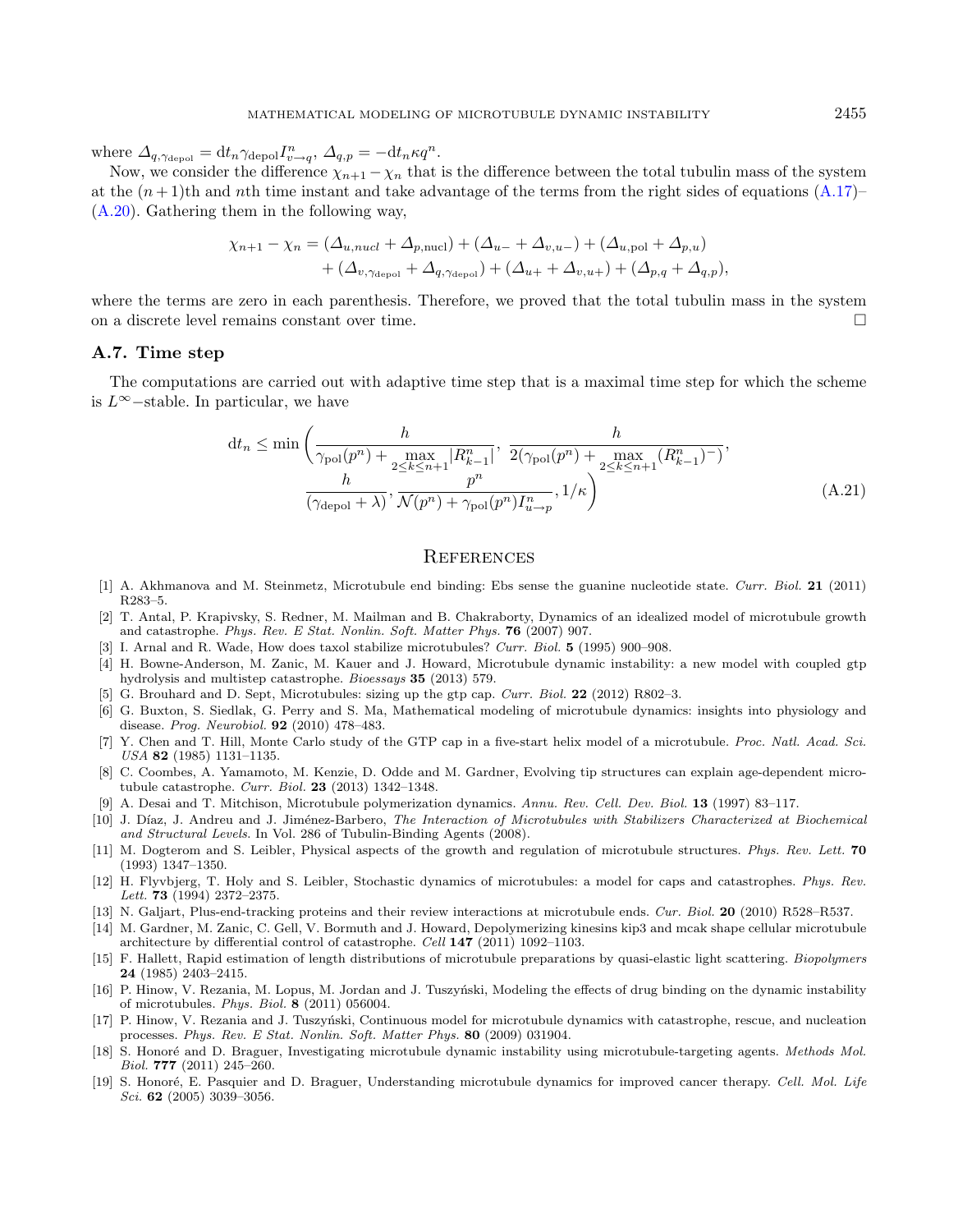where  $\Delta_{q, \gamma_{\text{depol}}} = dt_n \gamma_{\text{depol}} I_{v \to q}^n$ ,  $\Delta_{q,p} = -dt_n \kappa q^n$ .

Now, we consider the difference  $\chi_{n+1} - \chi_n$  that is the difference between the total tubulin mass of the system at the  $(n+1)$ th and nth time instant and take advantage of the terms from the right sides of equations  $(A.17)$ – [\(A.20\)](#page-21-0). Gathering them in the following way,

$$
\chi_{n+1} - \chi_n = (\Delta_{u,nucl} + \Delta_{p,nucl}) + (\Delta_{u-} + \Delta_{v,u-}) + (\Delta_{u,pol} + \Delta_{p,u})
$$
  
+ (\Delta\_{v,\gamma\_{\text{depol}}} + \Delta\_{q,\gamma\_{\text{depol}}}) + (\Delta\_{u+} + \Delta\_{v,u+}) + (\Delta\_{p,q} + \Delta\_{q,p}),

where the terms are zero in each parenthesis. Therefore, we proved that the total tubulin mass in the system on a discrete level remains constant over time.

## <span id="page-22-19"></span><span id="page-22-2"></span>A.7. Time step

<span id="page-22-17"></span><span id="page-22-13"></span><span id="page-22-5"></span><span id="page-22-4"></span><span id="page-22-3"></span>The computations are carried out with adaptive time step that is a maximal time step for which the scheme is L<sup>∞</sup>−stable. In particular, we have

$$
dt_n \le \min\left(\frac{h}{\gamma_{\text{pol}}(p^n) + \max_{2 \le k \le n+1} |R_{k-1}^n|}, \frac{h}{2(\gamma_{\text{pol}}(p^n) + \max_{2 \le k \le n+1} (R_{k-1}^n)^{-})}, \frac{h}{(\gamma_{\text{depol}} + \lambda)}, \frac{p^n}{\mathcal{N}(p^n) + \gamma_{\text{pol}}(p^n)I_{u \to p}^n}, 1/\kappa\right)
$$
\n(A.21)

### **REFERENCES**

- <span id="page-22-18"></span><span id="page-22-11"></span><span id="page-22-6"></span><span id="page-22-0"></span>[1] A. Akhmanova and M. Steinmetz, Microtubule end binding: Ebs sense the guanine nucleotide state. Curr. Biol. 21 (2011) R283–5.
- <span id="page-22-7"></span>[2] T. Antal, P. Krapivsky, S. Redner, M. Mailman and B. Chakraborty, Dynamics of an idealized model of microtubule growth and catastrophe. Phys. Rev. E Stat. Nonlin. Soft. Matter Phys. 76 (2007) 907.
- <span id="page-22-8"></span>[3] I. Arnal and R. Wade, How does taxol stabilize microtubules? Curr. Biol. 5 (1995) 900–908.
- [4] H. Bowne-Anderson, M. Zanic, M. Kauer and J. Howard, Microtubule dynamic instability: a new model with coupled gtp hydrolysis and multistep catastrophe. Bioessays 35 (2013) 579.
- <span id="page-22-15"></span><span id="page-22-12"></span>[5] G. Brouhard and D. Sept, Microtubules: sizing up the gtp cap. Curr. Biol. 22 (2012) R802-3.
- [6] G. Buxton, S. Siedlak, G. Perry and S. Ma, Mathematical modeling of microtubule dynamics: insights into physiology and disease. Prog. Neurobiol. 92 (2010) 478–483.
- <span id="page-22-16"></span>[7] Y. Chen and T. Hill, Monte Carlo study of the GTP cap in a five-start helix model of a microtubule. Proc. Natl. Acad. Sci. USA 82 (1985) 1131–1135.
- <span id="page-22-9"></span>[8] C. Coombes, A. Yamamoto, M. Kenzie, D. Odde and M. Gardner, Evolving tip structures can explain age-dependent microtubule catastrophe. Curr. Biol. 23 (2013) 1342–1348.
- <span id="page-22-10"></span>[9] A. Desai and T. Mitchison, Microtubule polymerization dynamics. Annu. Rev. Cell. Dev. Biol. 13 (1997) 83–117.
- <span id="page-22-14"></span>[10] J. Díaz, J. Andreu and J. Jiménez-Barbero, The Interaction of Microtubules with Stabilizers Characterized at Biochemical and Structural Levels. In Vol. 286 of Tubulin-Binding Agents (2008).
- <span id="page-22-1"></span>[11] M. Dogterom and S. Leibler, Physical aspects of the growth and regulation of microtubule structures. Phys. Rev. Lett. 70 (1993) 1347–1350.
- [12] H. Flyvbjerg, T. Holy and S. Leibler, Stochastic dynamics of microtubules: a model for caps and catastrophes. Phys. Rev. Lett. 73 (1994) 2372–2375.
- [13] N. Galjart, Plus-end-tracking proteins and their review interactions at microtubule ends. Cur. Biol. 20 (2010) R528–R537.
- [14] M. Gardner, M. Zanic, C. Gell, V. Bormuth and J. Howard, Depolymerizing kinesins kip3 and mcak shape cellular microtubule architecture by differential control of catastrophe. Cell 147 (2011) 1092–1103.
- [15] F. Hallett, Rapid estimation of length distributions of microtubule preparations by quasi-elastic light scattering. Biopolymers 24 (1985) 2403–2415.
- [16] P. Hinow, V. Rezania, M. Lopus, M. Jordan and J. Tuszyński, Modeling the effects of drug binding on the dynamic instability of microtubules. Phys. Biol. 8 (2011) 056004.
- [17] P. Hinow, V. Rezania and J. Tuszynski, Continuous model for microtubule dynamics with catastrophe, rescue, and nucleation processes. Phys. Rev. E Stat. Nonlin. Soft. Matter Phys. 80 (2009) 031904.
- [18] S. Honoré and D. Braguer, Investigating microtubule dynamic instability using microtubule-targeting agents. Methods Mol. Biol. 777 (2011) 245–260.
- [19] S. Honoré, E. Pasquier and D. Braguer, Understanding microtubule dynamics for improved cancer therapy. Cell. Mol. Life Sci. **62** (2005) 3039-3056.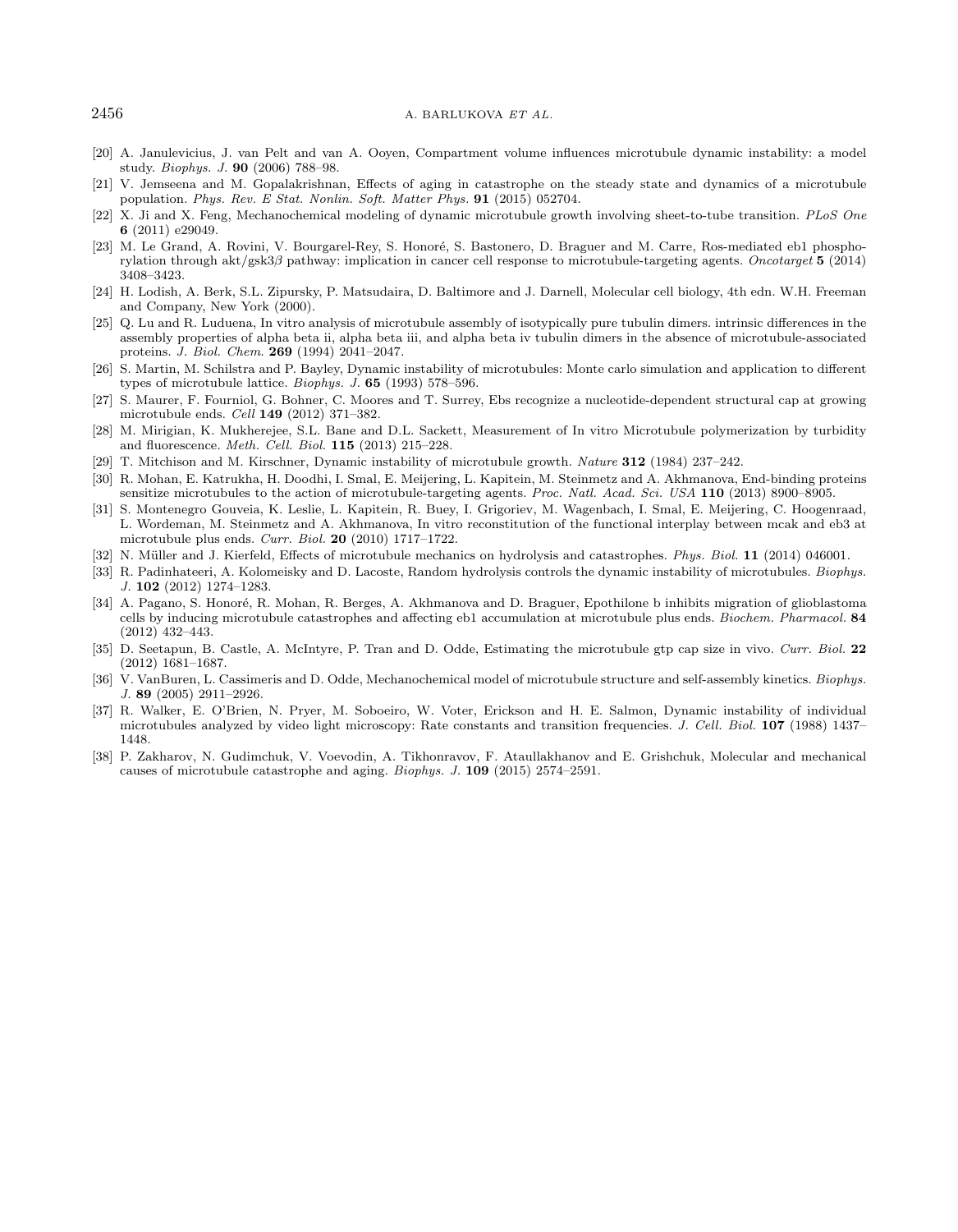#### <span id="page-23-18"></span><span id="page-23-15"></span><span id="page-23-11"></span><span id="page-23-5"></span><span id="page-23-4"></span><span id="page-23-0"></span> $2456$  A. BARLUKOVA ET AL.

- <span id="page-23-6"></span>[20] A. Janulevicius, J. van Pelt and van A. Ooyen, Compartment volume influences microtubule dynamic instability: a model study. Biophys. J. 90 (2006) 788–98.
- <span id="page-23-2"></span>[21] V. Jemseena and M. Gopalakrishnan, Effects of aging in catastrophe on the steady state and dynamics of a microtubule population. Phys. Rev. E Stat. Nonlin. Soft. Matter Phys. 91 (2015) 052704.
- <span id="page-23-17"></span>[22] X. Ji and X. Feng, Mechanochemical modeling of dynamic microtubule growth involving sheet-to-tube transition. PLoS One 6 (2011) e29049.
- <span id="page-23-12"></span><span id="page-23-1"></span>[23] M. Le Grand, A. Rovini, V. Bourgarel-Rey, S. Honoré, S. Bastonero, D. Braguer and M. Carre, Ros-mediated eb1 phosphorylation through akt/gsk3 $\beta$  pathway: implication in cancer cell response to microtubule-targeting agents. Oncotarget 5 (2014) 3408–3423.
- <span id="page-23-16"></span>[24] H. Lodish, A. Berk, S.L. Zipursky, P. Matsudaira, D. Baltimore and J. Darnell, Molecular cell biology, 4th edn. W.H. Freeman and Company, New York (2000).
- <span id="page-23-8"></span><span id="page-23-7"></span>[25] Q. Lu and R. Luduena, In vitro analysis of microtubule assembly of isotypically pure tubulin dimers. intrinsic differences in the assembly properties of alpha beta ii, alpha beta iii, and alpha beta iv tubulin dimers in the absence of microtubule-associated proteins. J. Biol. Chem. 269 (1994) 2041–2047.
- <span id="page-23-14"></span>[26] S. Martin, M. Schilstra and P. Bayley, Dynamic instability of microtubules: Monte carlo simulation and application to different types of microtubule lattice. Biophys. J. 65 (1993) 578–596.
- [27] S. Maurer, F. Fourniol, G. Bohner, C. Moores and T. Surrey, Ebs recognize a nucleotide-dependent structural cap at growing microtubule ends. Cell 149 (2012) 371–382.
- <span id="page-23-3"></span>[28] M. Mirigian, K. Mukherejee, S.L. Bane and D.L. Sackett, Measurement of In vitro Microtubule polymerization by turbidity and fluorescence. Meth. Cell. Biol. 115 (2013) 215–228.
- <span id="page-23-9"></span>[29] T. Mitchison and M. Kirschner, Dynamic instability of microtubule growth. Nature 312 (1984) 237–242.
- <span id="page-23-10"></span>[30] R. Mohan, E. Katrukha, H. Doodhi, I. Smal, E. Meijering, L. Kapitein, M. Steinmetz and A. Akhmanova, End-binding proteins sensitize microtubules to the action of microtubule-targeting agents. Proc. Natl. Acad. Sci. USA 110 (2013) 8900–8905.
- <span id="page-23-13"></span>[31] S. Montenegro Gouveia, K. Leslie, L. Kapitein, R. Buey, I. Grigoriev, M. Wagenbach, I. Smal, E. Meijering, C. Hoogenraad, L. Wordeman, M. Steinmetz and A. Akhmanova, In vitro reconstitution of the functional interplay between mcak and eb3 at microtubule plus ends. Curr. Biol. 20 (2010) 1717–1722.
- [32] N. Müller and J. Kierfeld, Effects of microtubule mechanics on hydrolysis and catastrophes. Phys. Biol. 11 (2014) 046001.
- [33] R. Padinhateeri, A. Kolomeisky and D. Lacoste, Random hydrolysis controls the dynamic instability of microtubules. Biophys. J. 102 (2012) 1274–1283.
- [34] A. Pagano, S. Honoré, R. Mohan, R. Berges, A. Akhmanova and D. Braguer, Epothilone b inhibits migration of glioblastoma cells by inducing microtubule catastrophes and affecting eb1 accumulation at microtubule plus ends. Biochem. Pharmacol. 84 (2012) 432–443.
- [35] D. Seetapun, B. Castle, A. McIntyre, P. Tran and D. Odde, Estimating the microtubule gtp cap size in vivo. Curr. Biol. 22 (2012) 1681–1687.
- [36] V. VanBuren, L. Cassimeris and D. Odde, Mechanochemical model of microtubule structure and self-assembly kinetics. Biophys. J. 89 (2005) 2911–2926.
- [37] R. Walker, E. O'Brien, N. Pryer, M. Soboeiro, W. Voter, Erickson and H. E. Salmon, Dynamic instability of individual microtubules analyzed by video light microscopy: Rate constants and transition frequencies. J. Cell. Biol. 107 (1988) 1437– 1448.
- [38] P. Zakharov, N. Gudimchuk, V. Voevodin, A. Tikhonravov, F. Ataullakhanov and E. Grishchuk, Molecular and mechanical causes of microtubule catastrophe and aging. Biophys. J. 109 (2015) 2574–2591.